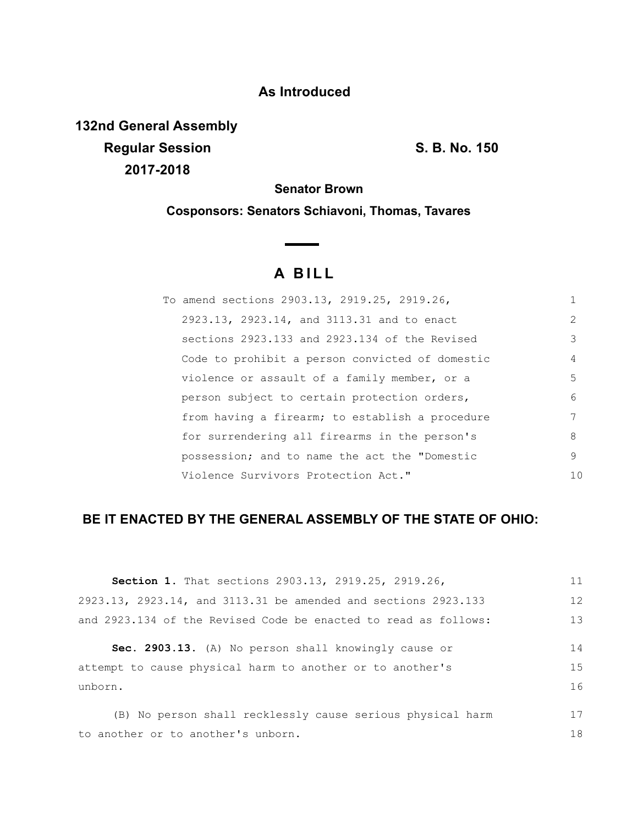# **As Introduced**

**132nd General Assembly Regular Session S. B. No. 150 2017-2018**

**Senator Brown**

**Cosponsors: Senators Schiavoni, Thomas, Tavares**

# **A BILL**

<u> The Common State State Sta</u>te

| To amend sections 2903.13, 2919.25, 2919.26,    |                |
|-------------------------------------------------|----------------|
| 2923.13, 2923.14, and 3113.31 and to enact      | $\mathcal{L}$  |
| sections 2923.133 and 2923.134 of the Revised   | 3              |
| Code to prohibit a person convicted of domestic | 4              |
| violence or assault of a family member, or a    | 5              |
| person subject to certain protection orders,    | 6              |
| from having a firearm; to establish a procedure |                |
| for surrendering all firearms in the person's   | 8              |
| possession; and to name the act the "Domestic   | 9              |
| Violence Survivors Protection Act."             | 1 <sub>0</sub> |

# **BE IT ENACTED BY THE GENERAL ASSEMBLY OF THE STATE OF OHIO:**

| <b>Section 1.</b> That sections 2903.13, 2919.25, 2919.26,      | 11 |
|-----------------------------------------------------------------|----|
| 2923.13, 2923.14, and 3113.31 be amended and sections 2923.133  | 12 |
| and 2923.134 of the Revised Code be enacted to read as follows: | 13 |
| Sec. 2903.13. (A) No person shall knowingly cause or            | 14 |
| attempt to cause physical harm to another or to another's       | 15 |
| unborn.                                                         | 16 |
| (B) No person shall recklessly cause serious physical harm      | 17 |
| to another or to another's unborn.                              | 18 |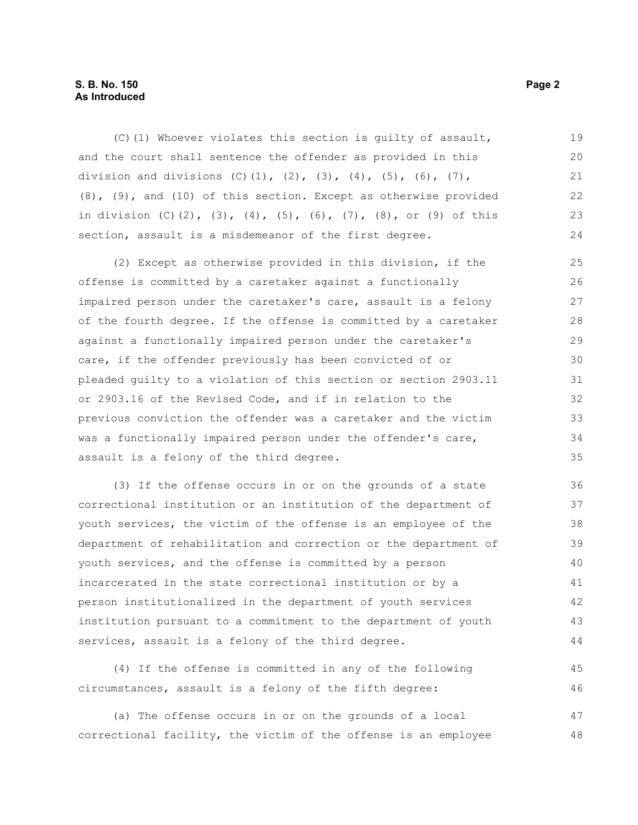# **S. B. No. 150 Page 2 As Introduced**

(C)(1) Whoever violates this section is guilty of assault, and the court shall sentence the offender as provided in this division and divisions  $(C)$ (1),  $(2)$ ,  $(3)$ ,  $(4)$ ,  $(5)$ ,  $(6)$ ,  $(7)$ , (8), (9), and (10) of this section. Except as otherwise provided in division  $(C)$   $(2)$ ,  $(3)$ ,  $(4)$ ,  $(5)$ ,  $(6)$ ,  $(7)$ ,  $(8)$ , or  $(9)$  of this section, assault is a misdemeanor of the first degree. 19 20 21 22 23 24

(2) Except as otherwise provided in this division, if the offense is committed by a caretaker against a functionally impaired person under the caretaker's care, assault is a felony of the fourth degree. If the offense is committed by a caretaker against a functionally impaired person under the caretaker's care, if the offender previously has been convicted of or pleaded guilty to a violation of this section or section 2903.11 or 2903.16 of the Revised Code, and if in relation to the previous conviction the offender was a caretaker and the victim was a functionally impaired person under the offender's care, assault is a felony of the third degree. 25 26 27 28 29 30 31 32 33 34 35

(3) If the offense occurs in or on the grounds of a state correctional institution or an institution of the department of youth services, the victim of the offense is an employee of the department of rehabilitation and correction or the department of youth services, and the offense is committed by a person incarcerated in the state correctional institution or by a person institutionalized in the department of youth services institution pursuant to a commitment to the department of youth services, assault is a felony of the third degree. 36 37 38 39 40 41 42 43 44

(4) If the offense is committed in any of the following circumstances, assault is a felony of the fifth degree: 45 46

(a) The offense occurs in or on the grounds of a local correctional facility, the victim of the offense is an employee 47 48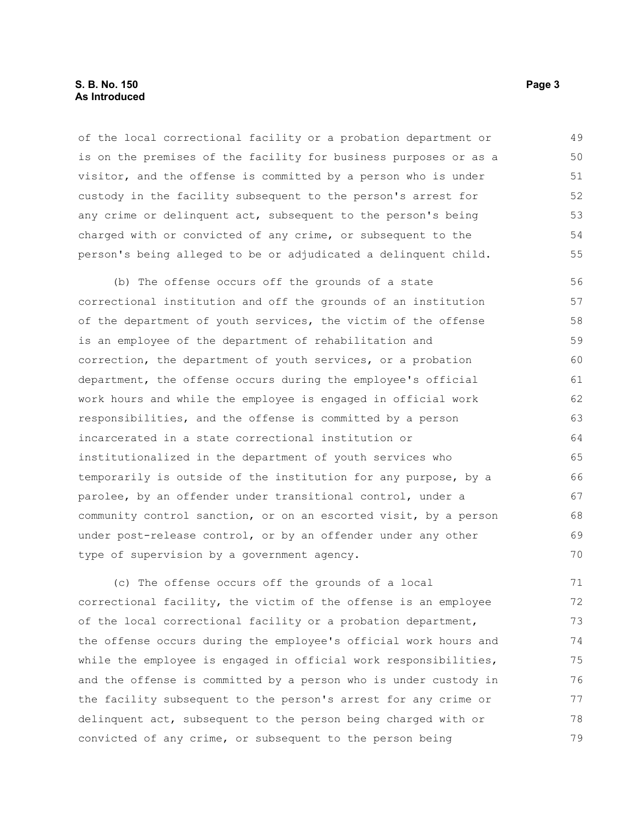of the local correctional facility or a probation department or is on the premises of the facility for business purposes or as a visitor, and the offense is committed by a person who is under custody in the facility subsequent to the person's arrest for any crime or delinquent act, subsequent to the person's being charged with or convicted of any crime, or subsequent to the person's being alleged to be or adjudicated a delinquent child. 49 50 51 52 53 54 55

(b) The offense occurs off the grounds of a state correctional institution and off the grounds of an institution of the department of youth services, the victim of the offense is an employee of the department of rehabilitation and correction, the department of youth services, or a probation department, the offense occurs during the employee's official work hours and while the employee is engaged in official work responsibilities, and the offense is committed by a person incarcerated in a state correctional institution or institutionalized in the department of youth services who temporarily is outside of the institution for any purpose, by a parolee, by an offender under transitional control, under a community control sanction, or on an escorted visit, by a person under post-release control, or by an offender under any other type of supervision by a government agency. 56 57 58 59 60 61 62 63 64 65 66 67 68 69 70

(c) The offense occurs off the grounds of a local correctional facility, the victim of the offense is an employee of the local correctional facility or a probation department, the offense occurs during the employee's official work hours and while the employee is engaged in official work responsibilities, and the offense is committed by a person who is under custody in the facility subsequent to the person's arrest for any crime or delinquent act, subsequent to the person being charged with or convicted of any crime, or subsequent to the person being 71 72 73 74 75 76 77 78 79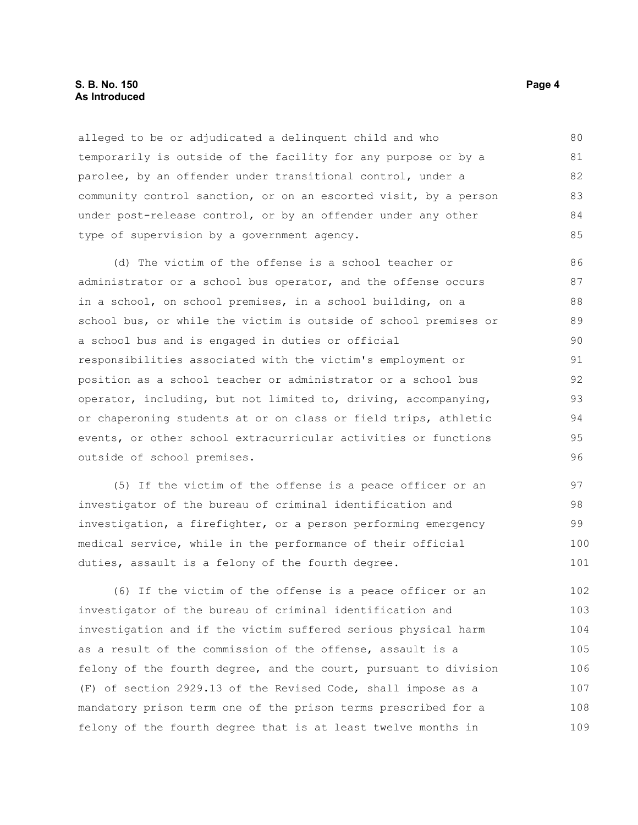## **S. B. No. 150 Page 4 As Introduced**

alleged to be or adjudicated a delinquent child and who temporarily is outside of the facility for any purpose or by a parolee, by an offender under transitional control, under a community control sanction, or on an escorted visit, by a person under post-release control, or by an offender under any other type of supervision by a government agency. 80 81 82 83 84 85

(d) The victim of the offense is a school teacher or administrator or a school bus operator, and the offense occurs in a school, on school premises, in a school building, on a school bus, or while the victim is outside of school premises or a school bus and is engaged in duties or official responsibilities associated with the victim's employment or position as a school teacher or administrator or a school bus operator, including, but not limited to, driving, accompanying, or chaperoning students at or on class or field trips, athletic events, or other school extracurricular activities or functions outside of school premises. 86 87 88 89 90 91 92 93 94 95 96

(5) If the victim of the offense is a peace officer or an investigator of the bureau of criminal identification and investigation, a firefighter, or a person performing emergency medical service, while in the performance of their official duties, assault is a felony of the fourth degree. 97 98 99 100 101

(6) If the victim of the offense is a peace officer or an investigator of the bureau of criminal identification and investigation and if the victim suffered serious physical harm as a result of the commission of the offense, assault is a felony of the fourth degree, and the court, pursuant to division (F) of section 2929.13 of the Revised Code, shall impose as a mandatory prison term one of the prison terms prescribed for a felony of the fourth degree that is at least twelve months in 102 103 104 105 106 107 108 109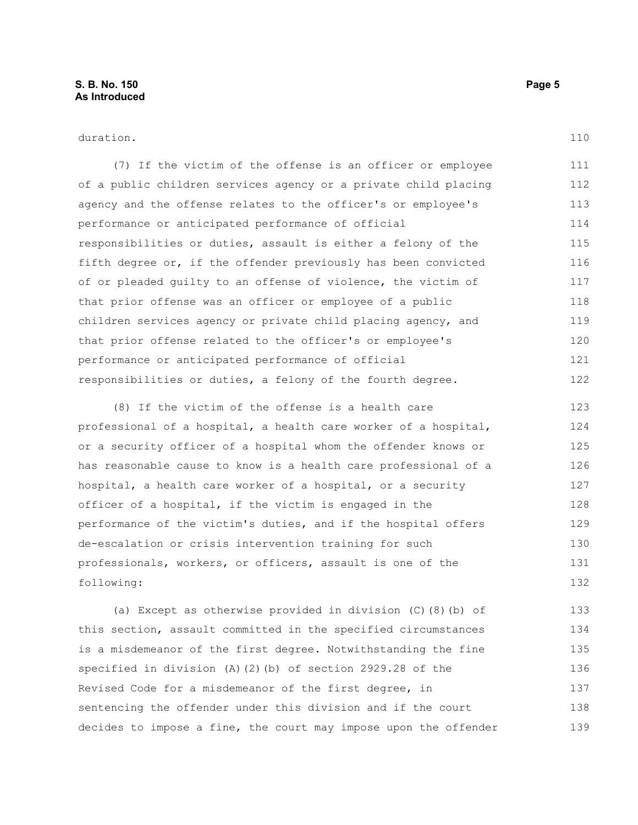duration.

(7) If the victim of the offense is an officer or employee of a public children services agency or a private child placing agency and the offense relates to the officer's or employee's performance or anticipated performance of official responsibilities or duties, assault is either a felony of the fifth degree or, if the offender previously has been convicted of or pleaded guilty to an offense of violence, the victim of that prior offense was an officer or employee of a public children services agency or private child placing agency, and that prior offense related to the officer's or employee's performance or anticipated performance of official responsibilities or duties, a felony of the fourth degree. 111 112 113 114 115 116 117 118 119 120 121 122

(8) If the victim of the offense is a health care professional of a hospital, a health care worker of a hospital, or a security officer of a hospital whom the offender knows or has reasonable cause to know is a health care professional of a hospital, a health care worker of a hospital, or a security officer of a hospital, if the victim is engaged in the performance of the victim's duties, and if the hospital offers de-escalation or crisis intervention training for such professionals, workers, or officers, assault is one of the following: 123 124 125 126 127 128 129 130 131 132

(a) Except as otherwise provided in division (C)(8)(b) of this section, assault committed in the specified circumstances is a misdemeanor of the first degree. Notwithstanding the fine specified in division (A)(2)(b) of section 2929.28 of the Revised Code for a misdemeanor of the first degree, in sentencing the offender under this division and if the court decides to impose a fine, the court may impose upon the offender 133 134 135 136 137 138 139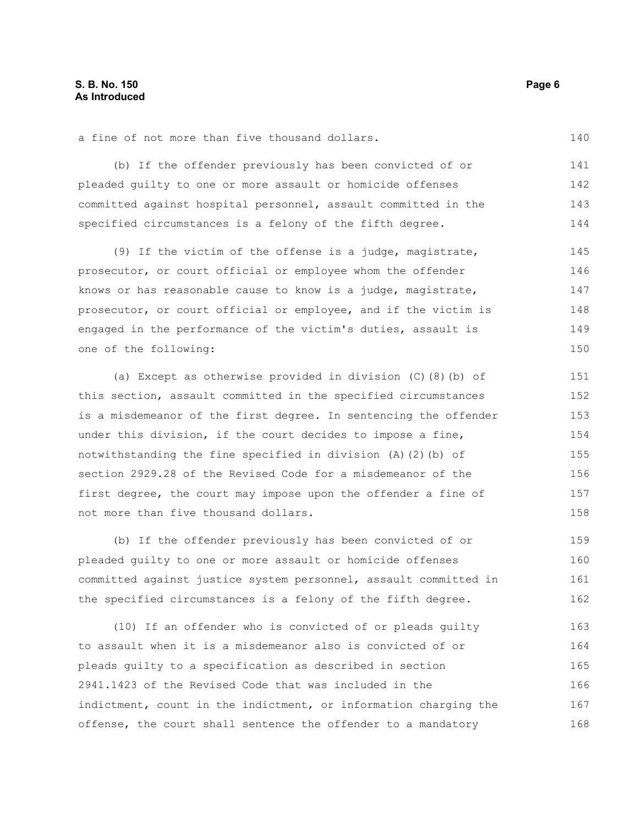a fine of not more than five thousand dollars.

(b) If the offender previously has been convicted of or pleaded guilty to one or more assault or homicide offenses committed against hospital personnel, assault committed in the specified circumstances is a felony of the fifth degree. 141 142 143 144

(9) If the victim of the offense is a judge, magistrate, prosecutor, or court official or employee whom the offender knows or has reasonable cause to know is a judge, magistrate, prosecutor, or court official or employee, and if the victim is engaged in the performance of the victim's duties, assault is one of the following: 145 146 147 148 149 150

(a) Except as otherwise provided in division (C)(8)(b) of this section, assault committed in the specified circumstances is a misdemeanor of the first degree. In sentencing the offender under this division, if the court decides to impose a fine, notwithstanding the fine specified in division (A)(2)(b) of section 2929.28 of the Revised Code for a misdemeanor of the first degree, the court may impose upon the offender a fine of not more than five thousand dollars.

(b) If the offender previously has been convicted of or pleaded guilty to one or more assault or homicide offenses committed against justice system personnel, assault committed in the specified circumstances is a felony of the fifth degree. 159 160 161 162

(10) If an offender who is convicted of or pleads guilty to assault when it is a misdemeanor also is convicted of or pleads guilty to a specification as described in section 2941.1423 of the Revised Code that was included in the indictment, count in the indictment, or information charging the offense, the court shall sentence the offender to a mandatory 163 164 165 166 167 168

140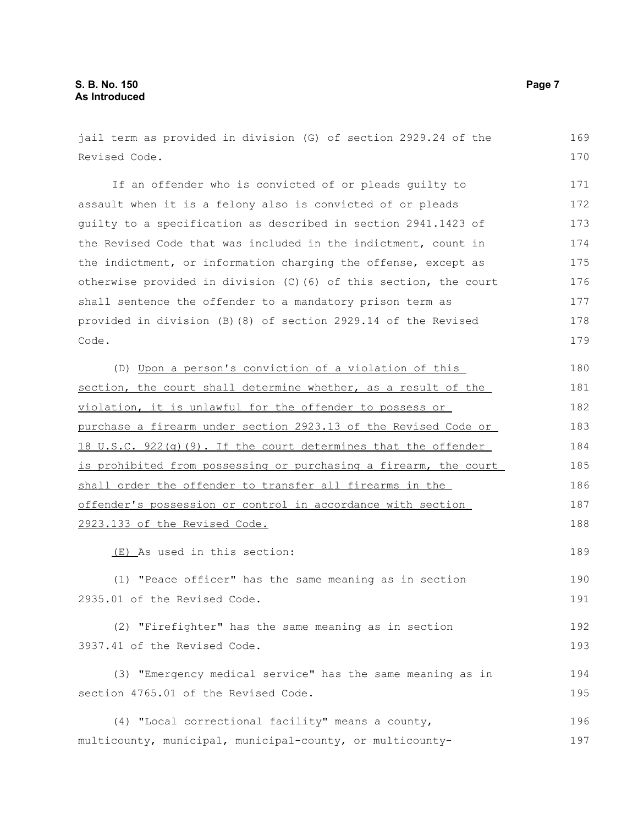jail term as provided in division (G) of section 2929.24 of the Revised Code. If an offender who is convicted of or pleads guilty to assault when it is a felony also is convicted of or pleads guilty to a specification as described in section 2941.1423 of the Revised Code that was included in the indictment, count in the indictment, or information charging the offense, except as otherwise provided in division (C)(6) of this section, the court shall sentence the offender to a mandatory prison term as provided in division (B)(8) of section 2929.14 of the Revised Code. (D) Upon a person's conviction of a violation of this section, the court shall determine whether, as a result of the violation, it is unlawful for the offender to possess or purchase a firearm under section 2923.13 of the Revised Code or 18 U.S.C. 922(g)(9). If the court determines that the offender is prohibited from possessing or purchasing a firearm, the court shall order the offender to transfer all firearms in the offender's possession or control in accordance with section 2923.133 of the Revised Code. (E) As used in this section: (1) "Peace officer" has the same meaning as in section 2935.01 of the Revised Code. (2) "Firefighter" has the same meaning as in section 3937.41 of the Revised Code. (3) "Emergency medical service" has the same meaning as in section 4765.01 of the Revised Code. (4) "Local correctional facility" means a county, 169 170 171 172 173 174 175 176 177 178 179 180 181 182 183 184 185 186 187 188 189 190 191 192 193 194 195 196

multicounty, municipal, municipal-county, or multicounty-197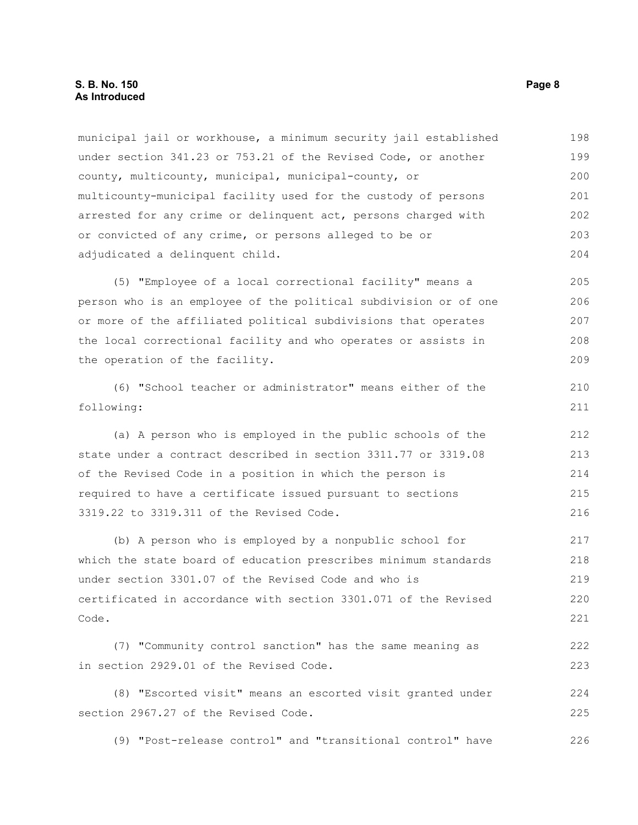municipal jail or workhouse, a minimum security jail established under section 341.23 or 753.21 of the Revised Code, or another county, multicounty, municipal, municipal-county, or multicounty-municipal facility used for the custody of persons arrested for any crime or delinquent act, persons charged with or convicted of any crime, or persons alleged to be or adjudicated a delinquent child. 198 199 200 201 202 203 204

(5) "Employee of a local correctional facility" means a person who is an employee of the political subdivision or of one or more of the affiliated political subdivisions that operates the local correctional facility and who operates or assists in the operation of the facility. 205 206 207 208 209

(6) "School teacher or administrator" means either of the following:

(a) A person who is employed in the public schools of the state under a contract described in section 3311.77 or 3319.08 of the Revised Code in a position in which the person is required to have a certificate issued pursuant to sections 3319.22 to 3319.311 of the Revised Code. 212 213 214 215 216

(b) A person who is employed by a nonpublic school for which the state board of education prescribes minimum standards under section 3301.07 of the Revised Code and who is certificated in accordance with section 3301.071 of the Revised Code. 217 218 219 220 221

(7) "Community control sanction" has the same meaning as in section 2929.01 of the Revised Code. 222 223

(8) "Escorted visit" means an escorted visit granted under section 2967.27 of the Revised Code. 224 225

(9) "Post-release control" and "transitional control" have 226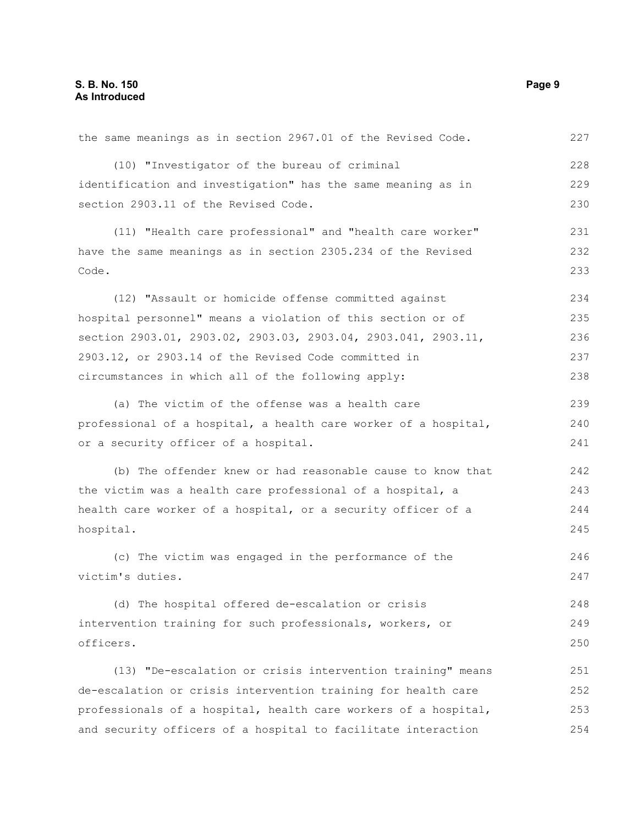| the same meanings as in section 2967.01 of the Revised Code.    | 227 |
|-----------------------------------------------------------------|-----|
| (10) "Investigator of the bureau of criminal                    | 228 |
| identification and investigation" has the same meaning as in    | 229 |
| section 2903.11 of the Revised Code.                            | 230 |
| (11) "Health care professional" and "health care worker"        | 231 |
| have the same meanings as in section 2305.234 of the Revised    | 232 |
| Code.                                                           | 233 |
| (12) "Assault or homicide offense committed against             | 234 |
| hospital personnel" means a violation of this section or of     | 235 |
| section 2903.01, 2903.02, 2903.03, 2903.04, 2903.041, 2903.11,  | 236 |
| 2903.12, or 2903.14 of the Revised Code committed in            | 237 |
| circumstances in which all of the following apply:              | 238 |
| (a) The victim of the offense was a health care                 | 239 |
| professional of a hospital, a health care worker of a hospital, | 240 |
| or a security officer of a hospital.                            | 241 |
| (b) The offender knew or had reasonable cause to know that      | 242 |
| the victim was a health care professional of a hospital, a      | 243 |
| health care worker of a hospital, or a security officer of a    | 244 |
| hospital.                                                       | 245 |
| (c) The victim was engaged in the performance of the            | 246 |
| victim's duties.                                                | 247 |
| (d) The hospital offered de-escalation or crisis                | 248 |
| intervention training for such professionals, workers, or       | 249 |
| officers.                                                       | 250 |
| (13) "De-escalation or crisis intervention training" means      | 251 |
| de-escalation or crisis intervention training for health care   | 252 |
| professionals of a hospital, health care workers of a hospital, | 253 |
| and security officers of a hospital to facilitate interaction   | 254 |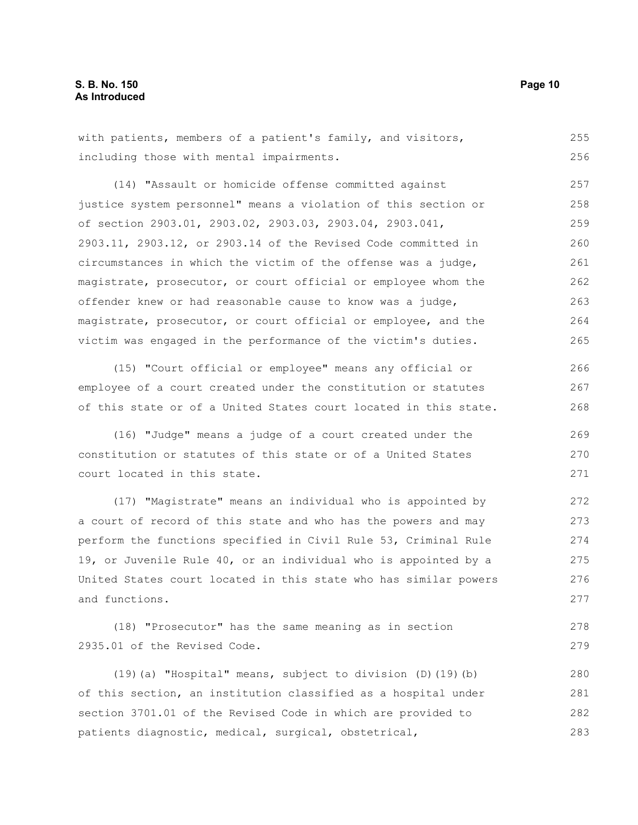266 267 268

269 270 271

with patients, members of a patient's family, and visitors, including those with mental impairments. 255 256

(14) "Assault or homicide offense committed against justice system personnel" means a violation of this section or of section 2903.01, 2903.02, 2903.03, 2903.04, 2903.041, 2903.11, 2903.12, or 2903.14 of the Revised Code committed in circumstances in which the victim of the offense was a judge, magistrate, prosecutor, or court official or employee whom the offender knew or had reasonable cause to know was a judge, magistrate, prosecutor, or court official or employee, and the victim was engaged in the performance of the victim's duties. 257 258 259 260 261 262 263 264 265

(15) "Court official or employee" means any official or employee of a court created under the constitution or statutes of this state or of a United States court located in this state.

(16) "Judge" means a judge of a court created under the constitution or statutes of this state or of a United States court located in this state.

(17) "Magistrate" means an individual who is appointed by a court of record of this state and who has the powers and may perform the functions specified in Civil Rule 53, Criminal Rule 19, or Juvenile Rule 40, or an individual who is appointed by a United States court located in this state who has similar powers and functions.

(18) "Prosecutor" has the same meaning as in section 2935.01 of the Revised Code. 278 279

(19)(a) "Hospital" means, subject to division (D)(19)(b) of this section, an institution classified as a hospital under section 3701.01 of the Revised Code in which are provided to patients diagnostic, medical, surgical, obstetrical, 280 281 282 283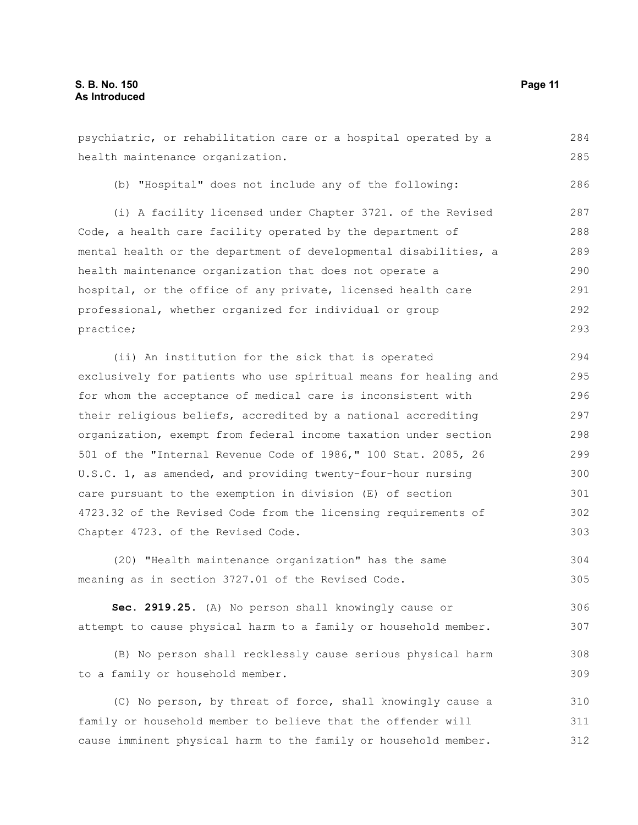psychiatric, or rehabilitation care or a hospital operated by a health maintenance organization. (b) "Hospital" does not include any of the following: (i) A facility licensed under Chapter 3721. of the Revised Code, a health care facility operated by the department of mental health or the department of developmental disabilities, a health maintenance organization that does not operate a hospital, or the office of any private, licensed health care professional, whether organized for individual or group practice; (ii) An institution for the sick that is operated exclusively for patients who use spiritual means for healing and for whom the acceptance of medical care is inconsistent with their religious beliefs, accredited by a national accrediting organization, exempt from federal income taxation under section 501 of the "Internal Revenue Code of 1986," 100 Stat. 2085, 26 U.S.C. 1, as amended, and providing twenty-four-hour nursing care pursuant to the exemption in division (E) of section 4723.32 of the Revised Code from the licensing requirements of Chapter 4723. of the Revised Code. (20) "Health maintenance organization" has the same meaning as in section 3727.01 of the Revised Code. **Sec. 2919.25.** (A) No person shall knowingly cause or attempt to cause physical harm to a family or household member. (B) No person shall recklessly cause serious physical harm to a family or household member. (C) No person, by threat of force, shall knowingly cause a 284 285 286 287 288 289 290 291 292 293 294 295 296 297 298 299 300 301 302 303 304 305 306 307 308 309 310

family or household member to believe that the offender will cause imminent physical harm to the family or household member. 311 312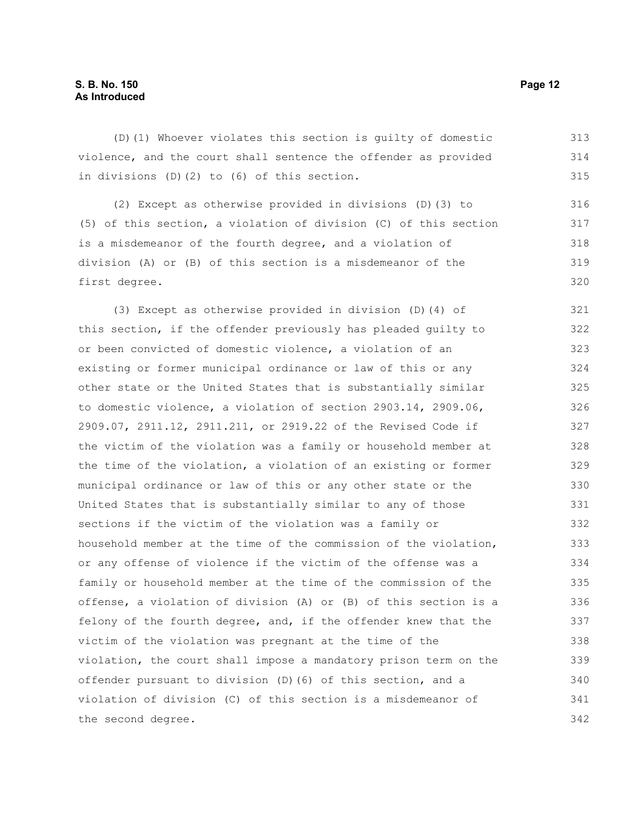# **S. B. No. 150 Page 12 As Introduced**

(D)(1) Whoever violates this section is guilty of domestic violence, and the court shall sentence the offender as provided in divisions (D)(2) to (6) of this section. 313 314 315

(2) Except as otherwise provided in divisions (D)(3) to (5) of this section, a violation of division (C) of this section is a misdemeanor of the fourth degree, and a violation of division (A) or (B) of this section is a misdemeanor of the first degree. 316 317 318 319 320

(3) Except as otherwise provided in division (D)(4) of this section, if the offender previously has pleaded guilty to or been convicted of domestic violence, a violation of an existing or former municipal ordinance or law of this or any other state or the United States that is substantially similar to domestic violence, a violation of section 2903.14, 2909.06, 2909.07, 2911.12, 2911.211, or 2919.22 of the Revised Code if the victim of the violation was a family or household member at the time of the violation, a violation of an existing or former municipal ordinance or law of this or any other state or the United States that is substantially similar to any of those sections if the victim of the violation was a family or household member at the time of the commission of the violation, or any offense of violence if the victim of the offense was a family or household member at the time of the commission of the offense, a violation of division (A) or (B) of this section is a felony of the fourth degree, and, if the offender knew that the victim of the violation was pregnant at the time of the violation, the court shall impose a mandatory prison term on the offender pursuant to division (D)(6) of this section, and a violation of division (C) of this section is a misdemeanor of the second degree. 321 322 323 324 325 326 327 328 329 330 331 332 333 334 335 336 337 338 339 340 341 342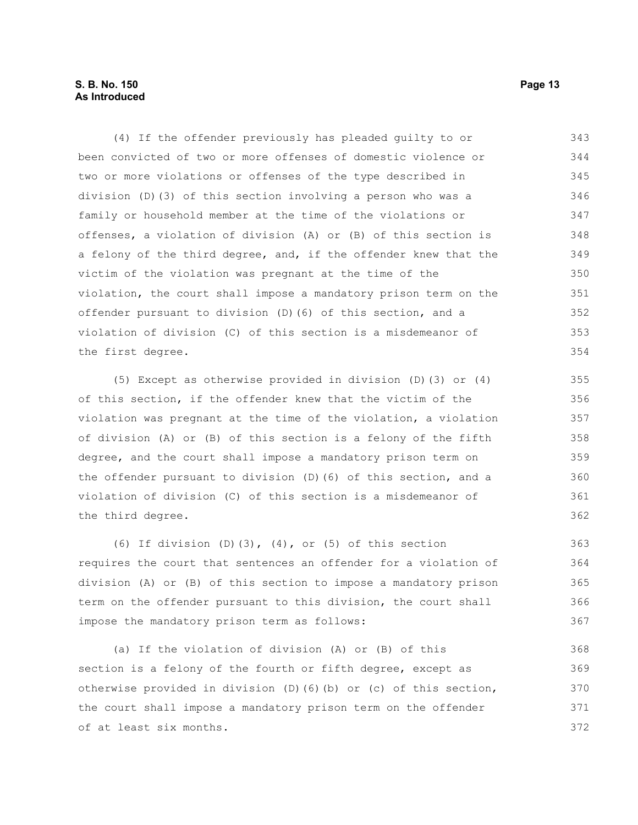# **S. B. No. 150 Page 13 As Introduced**

(4) If the offender previously has pleaded guilty to or been convicted of two or more offenses of domestic violence or two or more violations or offenses of the type described in division (D)(3) of this section involving a person who was a family or household member at the time of the violations or offenses, a violation of division (A) or (B) of this section is a felony of the third degree, and, if the offender knew that the victim of the violation was pregnant at the time of the violation, the court shall impose a mandatory prison term on the offender pursuant to division (D)(6) of this section, and a violation of division (C) of this section is a misdemeanor of the first degree. 343 344 345 346 347 348 349 350 351 352 353 354

(5) Except as otherwise provided in division (D)(3) or (4) of this section, if the offender knew that the victim of the violation was pregnant at the time of the violation, a violation of division (A) or (B) of this section is a felony of the fifth degree, and the court shall impose a mandatory prison term on the offender pursuant to division (D)(6) of this section, and a violation of division (C) of this section is a misdemeanor of the third degree.

(6) If division  $(D)$ (3),  $(4)$ , or  $(5)$  of this section requires the court that sentences an offender for a violation of division (A) or (B) of this section to impose a mandatory prison term on the offender pursuant to this division, the court shall impose the mandatory prison term as follows: 363 364 365 366 367

(a) If the violation of division (A) or (B) of this section is a felony of the fourth or fifth degree, except as otherwise provided in division (D)(6)(b) or (c) of this section, the court shall impose a mandatory prison term on the offender of at least six months. 368 369 370 371 372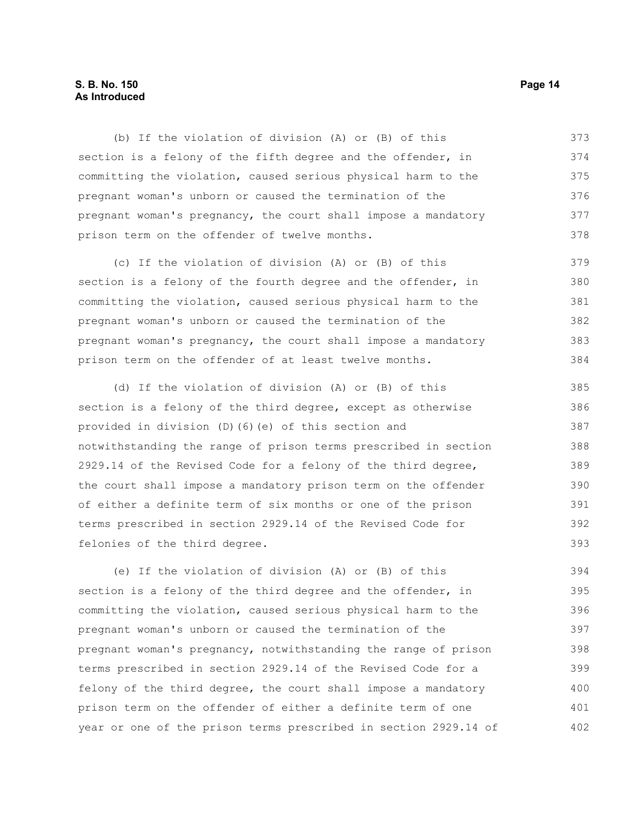# **S. B. No. 150 Page 14 As Introduced**

(b) If the violation of division (A) or (B) of this section is a felony of the fifth degree and the offender, in committing the violation, caused serious physical harm to the pregnant woman's unborn or caused the termination of the pregnant woman's pregnancy, the court shall impose a mandatory prison term on the offender of twelve months. 373 374 375 376 377 378

(c) If the violation of division (A) or (B) of this section is a felony of the fourth degree and the offender, in committing the violation, caused serious physical harm to the pregnant woman's unborn or caused the termination of the pregnant woman's pregnancy, the court shall impose a mandatory prison term on the offender of at least twelve months. 379 380 381 382 383 384

(d) If the violation of division (A) or (B) of this section is a felony of the third degree, except as otherwise provided in division (D)(6)(e) of this section and notwithstanding the range of prison terms prescribed in section 2929.14 of the Revised Code for a felony of the third degree, the court shall impose a mandatory prison term on the offender of either a definite term of six months or one of the prison terms prescribed in section 2929.14 of the Revised Code for felonies of the third degree. 385 386 387 388 389 390 391 392 393

(e) If the violation of division (A) or (B) of this section is a felony of the third degree and the offender, in committing the violation, caused serious physical harm to the pregnant woman's unborn or caused the termination of the pregnant woman's pregnancy, notwithstanding the range of prison terms prescribed in section 2929.14 of the Revised Code for a felony of the third degree, the court shall impose a mandatory prison term on the offender of either a definite term of one year or one of the prison terms prescribed in section 2929.14 of 394 395 396 397 398 399 400 401 402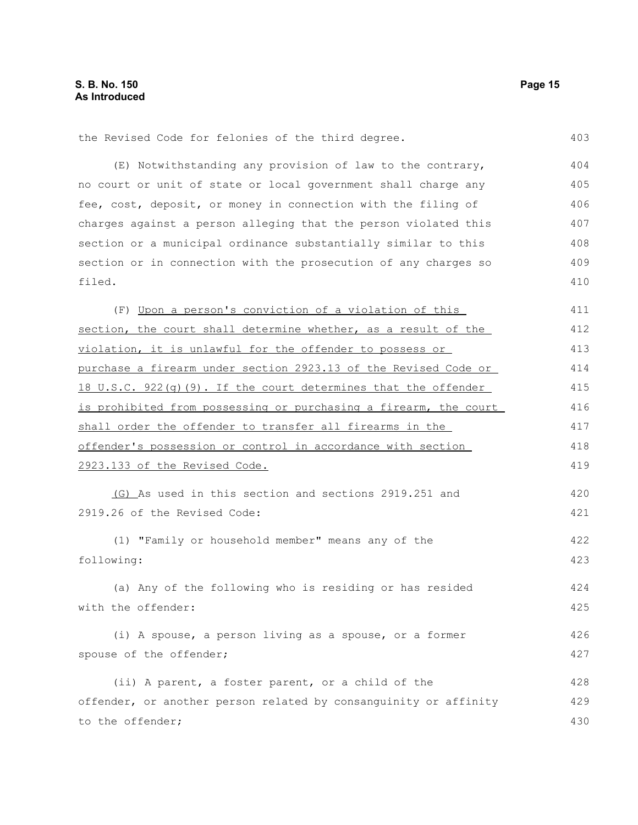403

420 421

426 427

the Revised Code for felonies of the third degree.

(E) Notwithstanding any provision of law to the contrary, no court or unit of state or local government shall charge any fee, cost, deposit, or money in connection with the filing of charges against a person alleging that the person violated this section or a municipal ordinance substantially similar to this section or in connection with the prosecution of any charges so filed. 404 405 406 407 408 409 410

(F) Upon a person's conviction of a violation of this section, the court shall determine whether, as a result of the violation, it is unlawful for the offender to possess or purchase a firearm under section 2923.13 of the Revised Code or 18 U.S.C. 922(g)(9). If the court determines that the offender is prohibited from possessing or purchasing a firearm, the court shall order the offender to transfer all firearms in the offender's possession or control in accordance with section 2923.133 of the Revised Code. 411 412 413 414 415 416 417 418 419

(G) As used in this section and sections 2919.251 and 2919.26 of the Revised Code:

(1) "Family or household member" means any of the following: 422 423

(a) Any of the following who is residing or has resided with the offender: 424 425

(i) A spouse, a person living as a spouse, or a former spouse of the offender;

(ii) A parent, a foster parent, or a child of the offender, or another person related by consanguinity or affinity to the offender; 428 429 430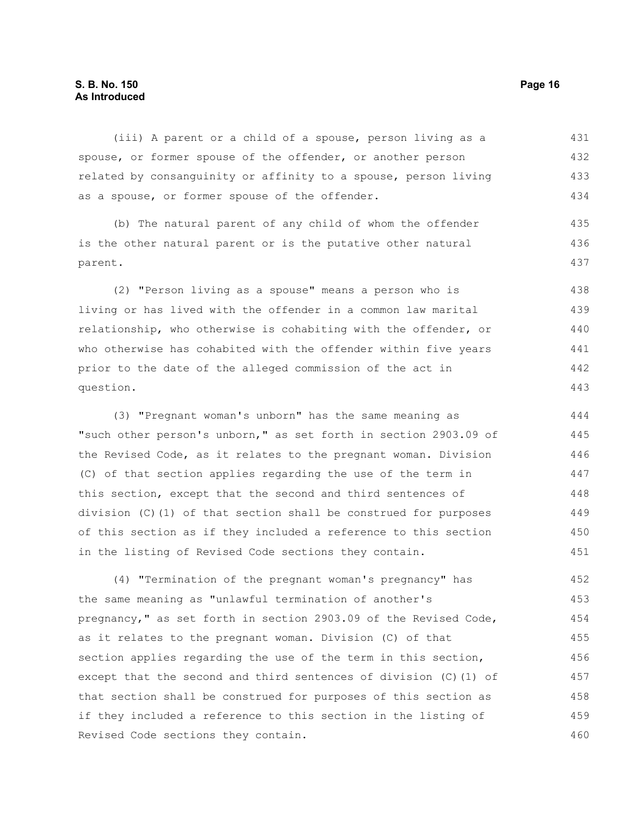(iii) A parent or a child of a spouse, person living as a spouse, or former spouse of the offender, or another person related by consanguinity or affinity to a spouse, person living as a spouse, or former spouse of the offender. 431 432 433 434

(b) The natural parent of any child of whom the offender is the other natural parent or is the putative other natural parent. 435 436 437

(2) "Person living as a spouse" means a person who is living or has lived with the offender in a common law marital relationship, who otherwise is cohabiting with the offender, or who otherwise has cohabited with the offender within five years prior to the date of the alleged commission of the act in question. 438 439 440 441 442 443

(3) "Pregnant woman's unborn" has the same meaning as "such other person's unborn," as set forth in section 2903.09 of the Revised Code, as it relates to the pregnant woman. Division (C) of that section applies regarding the use of the term in this section, except that the second and third sentences of division (C)(1) of that section shall be construed for purposes of this section as if they included a reference to this section in the listing of Revised Code sections they contain. 444 445 446 447 448 449 450 451

(4) "Termination of the pregnant woman's pregnancy" has the same meaning as "unlawful termination of another's pregnancy," as set forth in section 2903.09 of the Revised Code, as it relates to the pregnant woman. Division (C) of that section applies regarding the use of the term in this section, except that the second and third sentences of division (C)(1) of that section shall be construed for purposes of this section as if they included a reference to this section in the listing of Revised Code sections they contain. 452 453 454 455 456 457 458 459 460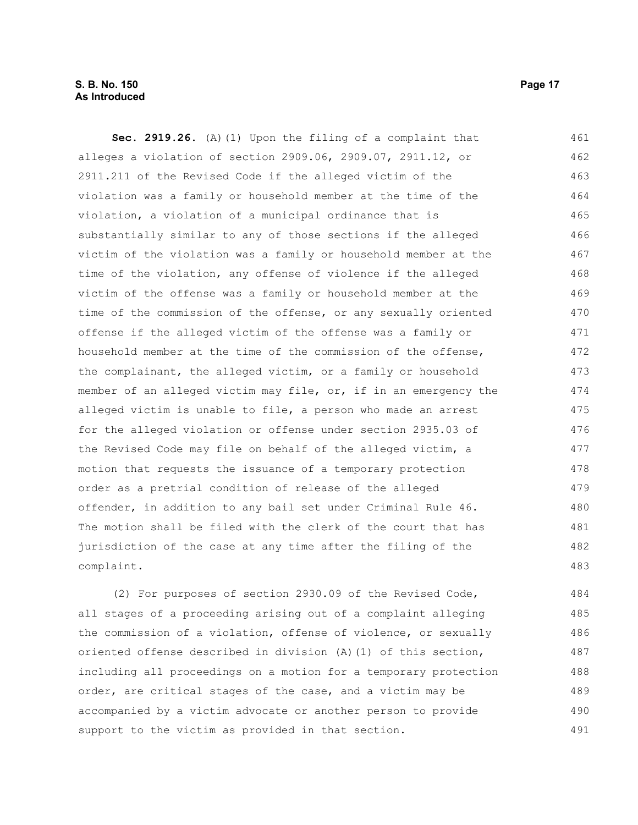# **S. B. No. 150 Page 17 As Introduced**

**Sec. 2919.26.** (A)(1) Upon the filing of a complaint that alleges a violation of section 2909.06, 2909.07, 2911.12, or 2911.211 of the Revised Code if the alleged victim of the violation was a family or household member at the time of the violation, a violation of a municipal ordinance that is substantially similar to any of those sections if the alleged victim of the violation was a family or household member at the time of the violation, any offense of violence if the alleged victim of the offense was a family or household member at the time of the commission of the offense, or any sexually oriented offense if the alleged victim of the offense was a family or household member at the time of the commission of the offense, the complainant, the alleged victim, or a family or household member of an alleged victim may file, or, if in an emergency the alleged victim is unable to file, a person who made an arrest for the alleged violation or offense under section 2935.03 of the Revised Code may file on behalf of the alleged victim, a motion that requests the issuance of a temporary protection order as a pretrial condition of release of the alleged offender, in addition to any bail set under Criminal Rule 46. The motion shall be filed with the clerk of the court that has jurisdiction of the case at any time after the filing of the complaint. 461 462 463 464 465 466 467 468 469 470 471 472 473 474 475 476 477 478 479 480 481 482 483

(2) For purposes of section 2930.09 of the Revised Code, all stages of a proceeding arising out of a complaint alleging the commission of a violation, offense of violence, or sexually oriented offense described in division (A)(1) of this section, including all proceedings on a motion for a temporary protection order, are critical stages of the case, and a victim may be accompanied by a victim advocate or another person to provide support to the victim as provided in that section. 484 485 486 487 488 489 490 491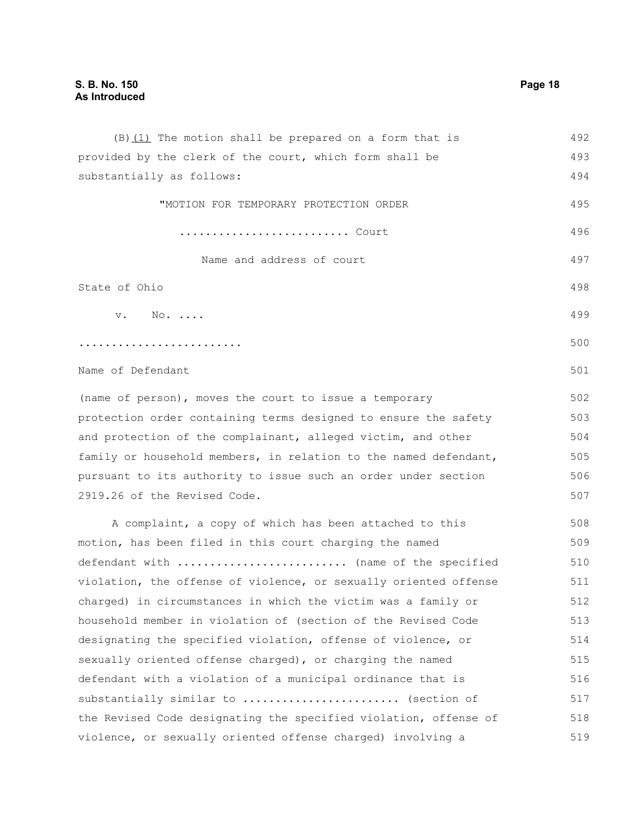| (B) (1) The motion shall be prepared on a form that is           | 492 |
|------------------------------------------------------------------|-----|
| provided by the clerk of the court, which form shall be          | 493 |
| substantially as follows:                                        | 494 |
| "MOTION FOR TEMPORARY PROTECTION ORDER                           | 495 |
|                                                                  | 496 |
| Name and address of court                                        | 497 |
| State of Ohio                                                    | 498 |
| $\mathbb{N} \circ \ldots$ .<br>v.                                | 499 |
|                                                                  | 500 |
| Name of Defendant                                                | 501 |
| (name of person), moves the court to issue a temporary           | 502 |
| protection order containing terms designed to ensure the safety  | 503 |
| and protection of the complainant, alleged victim, and other     | 504 |
| family or household members, in relation to the named defendant, | 505 |
| pursuant to its authority to issue such an order under section   | 506 |
| 2919.26 of the Revised Code.                                     | 507 |
| A complaint, a copy of which has been attached to this           | 508 |
| motion, has been filed in this court charging the named          | 509 |
| defendant with  (name of the specified                           | 510 |
| violation, the offense of violence, or sexually oriented offense | 511 |
| charged) in circumstances in which the victim was a family or    | 512 |
| household member in violation of (section of the Revised Code    | 513 |
| designating the specified violation, offense of violence, or     | 514 |
| sexually oriented offense charged), or charging the named        | 515 |
| defendant with a violation of a municipal ordinance that is      | 516 |
| substantially similar to  (section of                            | 517 |
| the Revised Code designating the specified violation, offense of | 518 |
| violence, or sexually oriented offense charged) involving a      | 519 |
|                                                                  |     |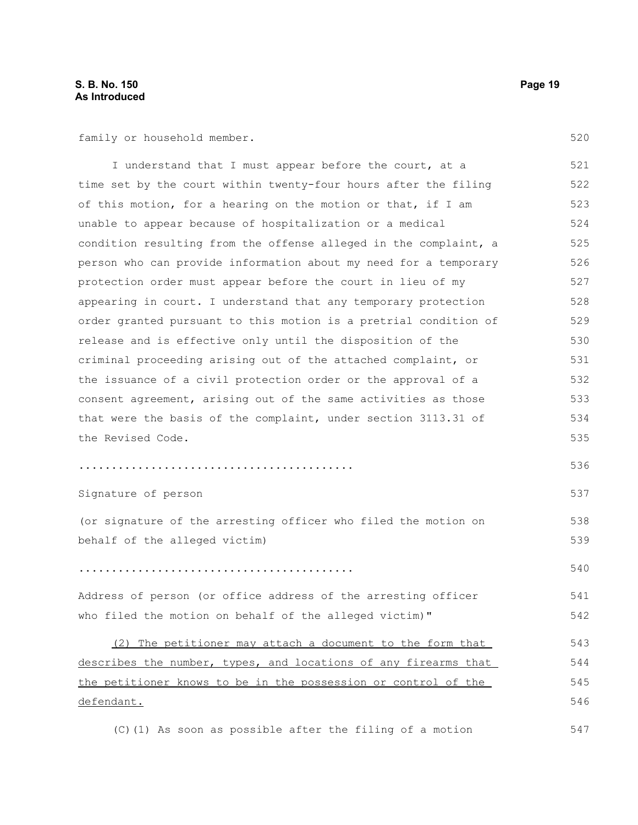family or household member.

I understand that I must appear before the court, at a time set by the court within twenty-four hours after the filing of this motion, for a hearing on the motion or that, if I am unable to appear because of hospitalization or a medical condition resulting from the offense alleged in the complaint, a person who can provide information about my need for a temporary protection order must appear before the court in lieu of my appearing in court. I understand that any temporary protection order granted pursuant to this motion is a pretrial condition of release and is effective only until the disposition of the criminal proceeding arising out of the attached complaint, or the issuance of a civil protection order or the approval of a consent agreement, arising out of the same activities as those that were the basis of the complaint, under section 3113.31 of the Revised Code. .......................................... Signature of person (or signature of the arresting officer who filed the motion on behalf of the alleged victim) .......................................... Address of person (or office address of the arresting officer who filed the motion on behalf of the alleged victim)" (2) The petitioner may attach a document to the form that describes the number, types, and locations of any firearms that the petitioner knows to be in the possession or control of the defendant. 521 522 523 524 525 526 527 528 529 530 531 532 533 534 535 536 537 538 539 540 541 542 543 544 545 546

(C)(1) As soon as possible after the filing of a motion

520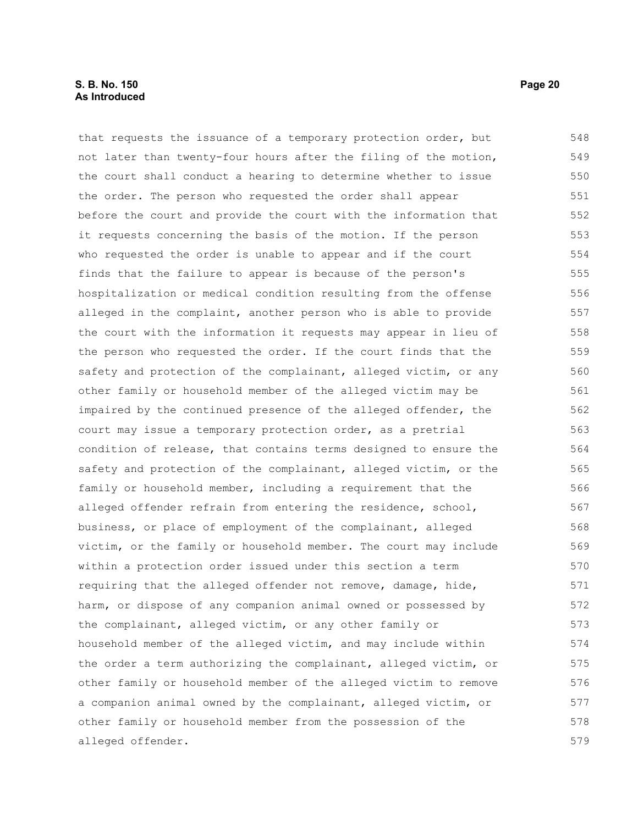# **S. B. No. 150 Page 20 As Introduced**

that requests the issuance of a temporary protection order, but not later than twenty-four hours after the filing of the motion, the court shall conduct a hearing to determine whether to issue the order. The person who requested the order shall appear before the court and provide the court with the information that it requests concerning the basis of the motion. If the person who requested the order is unable to appear and if the court finds that the failure to appear is because of the person's hospitalization or medical condition resulting from the offense alleged in the complaint, another person who is able to provide the court with the information it requests may appear in lieu of the person who requested the order. If the court finds that the safety and protection of the complainant, alleged victim, or any other family or household member of the alleged victim may be impaired by the continued presence of the alleged offender, the court may issue a temporary protection order, as a pretrial condition of release, that contains terms designed to ensure the safety and protection of the complainant, alleged victim, or the family or household member, including a requirement that the alleged offender refrain from entering the residence, school, business, or place of employment of the complainant, alleged victim, or the family or household member. The court may include within a protection order issued under this section a term requiring that the alleged offender not remove, damage, hide, harm, or dispose of any companion animal owned or possessed by the complainant, alleged victim, or any other family or household member of the alleged victim, and may include within the order a term authorizing the complainant, alleged victim, or other family or household member of the alleged victim to remove a companion animal owned by the complainant, alleged victim, or other family or household member from the possession of the alleged offender. 548 549 550 551 552 553 554 555 556 557 558 559 560 561 562 563 564 565 566 567 568 569 570 571 572 573 574 575 576 577 578 579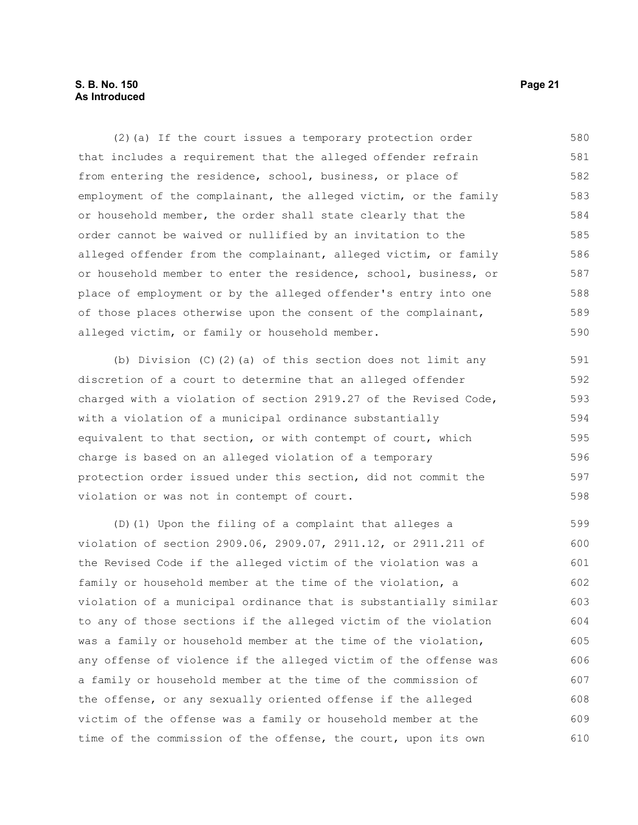# **S. B. No. 150 Page 21 As Introduced**

(2)(a) If the court issues a temporary protection order that includes a requirement that the alleged offender refrain from entering the residence, school, business, or place of employment of the complainant, the alleged victim, or the family or household member, the order shall state clearly that the order cannot be waived or nullified by an invitation to the alleged offender from the complainant, alleged victim, or family or household member to enter the residence, school, business, or place of employment or by the alleged offender's entry into one of those places otherwise upon the consent of the complainant, alleged victim, or family or household member. 580 581 582 583 584 585 586 587 588 589 590

(b) Division (C)(2)(a) of this section does not limit any discretion of a court to determine that an alleged offender charged with a violation of section 2919.27 of the Revised Code, with a violation of a municipal ordinance substantially equivalent to that section, or with contempt of court, which charge is based on an alleged violation of a temporary protection order issued under this section, did not commit the violation or was not in contempt of court. 591 592 593 594 595 596 597 598

(D)(1) Upon the filing of a complaint that alleges a violation of section 2909.06, 2909.07, 2911.12, or 2911.211 of the Revised Code if the alleged victim of the violation was a family or household member at the time of the violation, a violation of a municipal ordinance that is substantially similar to any of those sections if the alleged victim of the violation was a family or household member at the time of the violation, any offense of violence if the alleged victim of the offense was a family or household member at the time of the commission of the offense, or any sexually oriented offense if the alleged victim of the offense was a family or household member at the time of the commission of the offense, the court, upon its own 599 600 601 602 603 604 605 606 607 608 609 610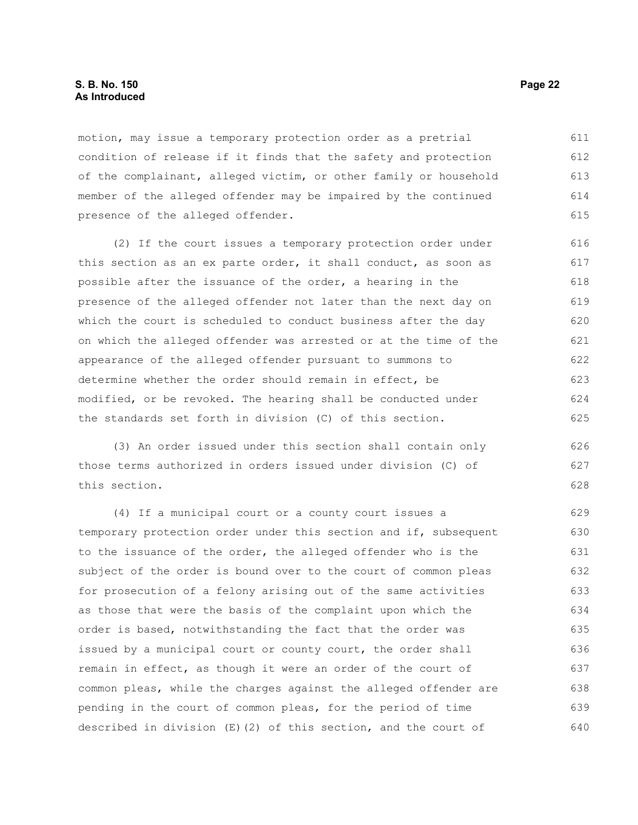#### **S. B. No. 150 Page 22 As Introduced**

motion, may issue a temporary protection order as a pretrial condition of release if it finds that the safety and protection of the complainant, alleged victim, or other family or household member of the alleged offender may be impaired by the continued presence of the alleged offender. 611 612 613 614 615

(2) If the court issues a temporary protection order under this section as an ex parte order, it shall conduct, as soon as possible after the issuance of the order, a hearing in the presence of the alleged offender not later than the next day on which the court is scheduled to conduct business after the day on which the alleged offender was arrested or at the time of the appearance of the alleged offender pursuant to summons to determine whether the order should remain in effect, be modified, or be revoked. The hearing shall be conducted under the standards set forth in division (C) of this section.

(3) An order issued under this section shall contain only those terms authorized in orders issued under division (C) of this section.

(4) If a municipal court or a county court issues a temporary protection order under this section and if, subsequent to the issuance of the order, the alleged offender who is the subject of the order is bound over to the court of common pleas for prosecution of a felony arising out of the same activities as those that were the basis of the complaint upon which the order is based, notwithstanding the fact that the order was issued by a municipal court or county court, the order shall remain in effect, as though it were an order of the court of common pleas, while the charges against the alleged offender are pending in the court of common pleas, for the period of time described in division (E)(2) of this section, and the court of 629 630 631 632 633 634 635 636 637 638 639 640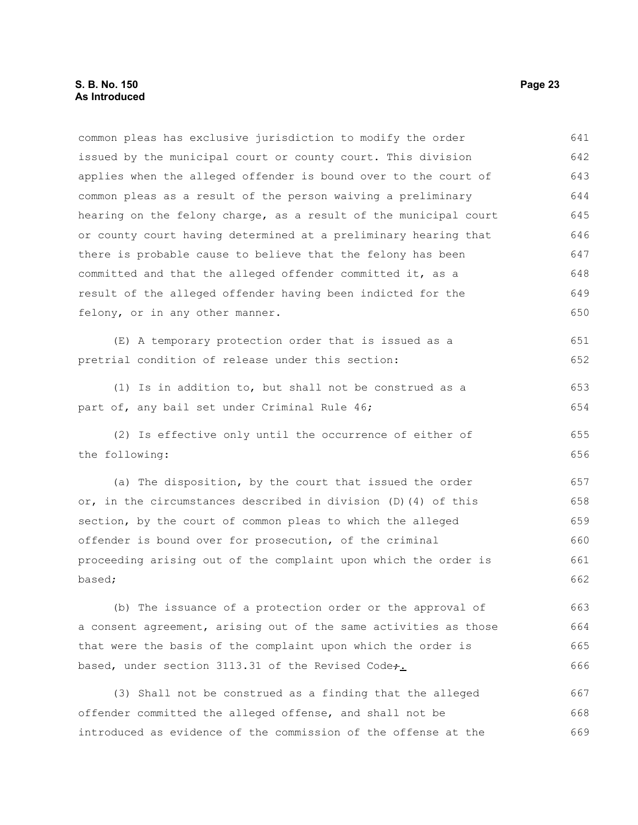#### **S. B. No. 150 Page 23 As Introduced**

common pleas has exclusive jurisdiction to modify the order issued by the municipal court or county court. This division applies when the alleged offender is bound over to the court of common pleas as a result of the person waiving a preliminary hearing on the felony charge, as a result of the municipal court or county court having determined at a preliminary hearing that there is probable cause to believe that the felony has been committed and that the alleged offender committed it, as a result of the alleged offender having been indicted for the felony, or in any other manner. (E) A temporary protection order that is issued as a pretrial condition of release under this section: (1) Is in addition to, but shall not be construed as a part of, any bail set under Criminal Rule 46; (2) Is effective only until the occurrence of either of the following: (a) The disposition, by the court that issued the order or, in the circumstances described in division (D)(4) of this section, by the court of common pleas to which the alleged offender is bound over for prosecution, of the criminal proceeding arising out of the complaint upon which the order is based; (b) The issuance of a protection order or the approval of a consent agreement, arising out of the same activities as those that were the basis of the complaint upon which the order is based, under section 3113.31 of the Revised Code+. (3) Shall not be construed as a finding that the alleged offender committed the alleged offense, and shall not be introduced as evidence of the commission of the offense at the 641 642 643 644 645 646 647 648 649 650 651 652 653 654 655 656 657 658 659 660 661 662 663 664 665 666 667 668 669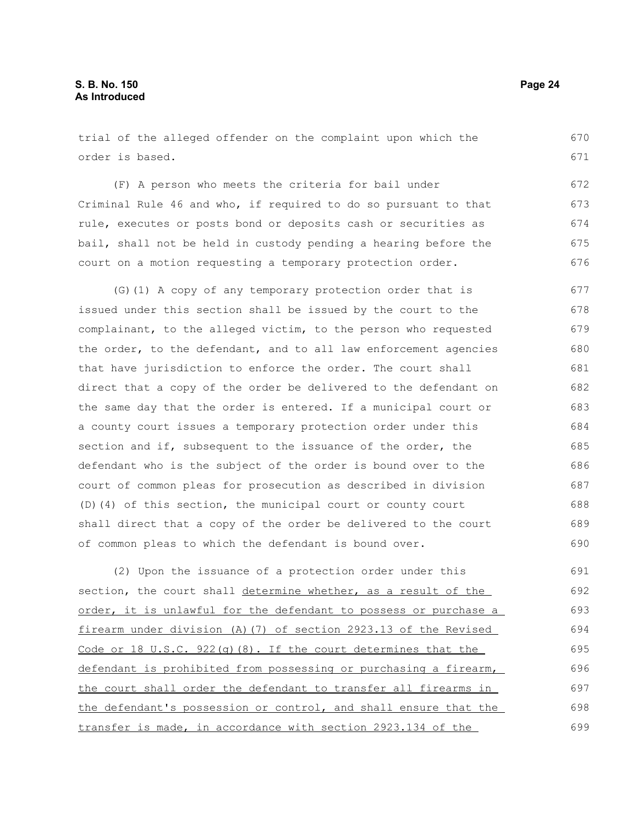trial of the alleged offender on the complaint upon which the order is based.

(F) A person who meets the criteria for bail under Criminal Rule 46 and who, if required to do so pursuant to that rule, executes or posts bond or deposits cash or securities as bail, shall not be held in custody pending a hearing before the court on a motion requesting a temporary protection order. 672 673 674 675 676

(G)(1) A copy of any temporary protection order that is issued under this section shall be issued by the court to the complainant, to the alleged victim, to the person who requested the order, to the defendant, and to all law enforcement agencies that have jurisdiction to enforce the order. The court shall direct that a copy of the order be delivered to the defendant on the same day that the order is entered. If a municipal court or a county court issues a temporary protection order under this section and if, subsequent to the issuance of the order, the defendant who is the subject of the order is bound over to the court of common pleas for prosecution as described in division (D)(4) of this section, the municipal court or county court shall direct that a copy of the order be delivered to the court of common pleas to which the defendant is bound over. 677 678 679 680 681 682 683 684 685 686 687 688 689 690

(2) Upon the issuance of a protection order under this section, the court shall determine whether, as a result of the order, it is unlawful for the defendant to possess or purchase a firearm under division (A)(7) of section 2923.13 of the Revised Code or 18 U.S.C. 922(g)(8). If the court determines that the defendant is prohibited from possessing or purchasing a firearm, the court shall order the defendant to transfer all firearms in the defendant's possession or control, and shall ensure that the transfer is made, in accordance with section 2923.134 of the 691 692 693 694 695 696 697 698 699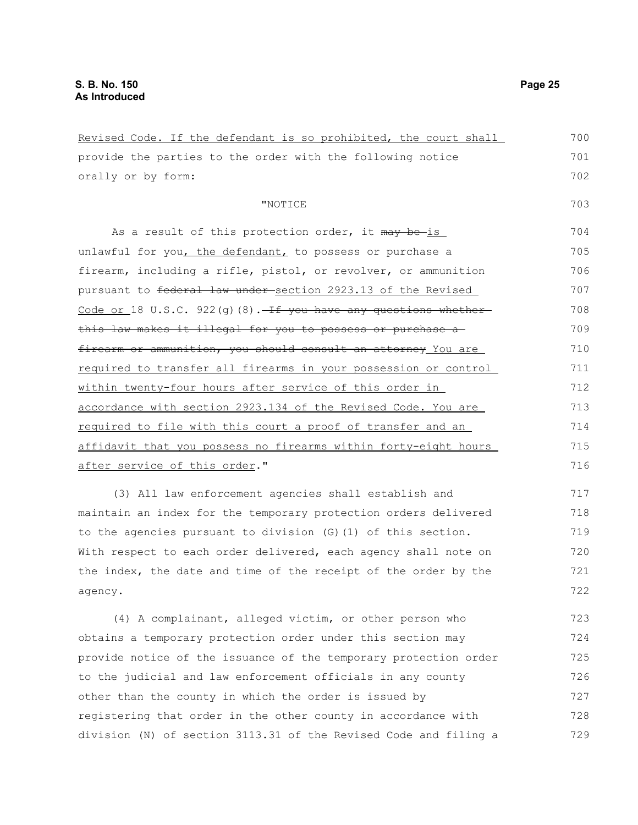| Revised Code. If the defendant is so prohibited, the court shall      | 700 |
|-----------------------------------------------------------------------|-----|
| provide the parties to the order with the following notice            | 701 |
| orally or by form:                                                    | 702 |
| "NOTICE                                                               | 703 |
| As a result of this protection order, it may be is                    | 704 |
| unlawful for you, the defendant, to possess or purchase a             | 705 |
| firearm, including a rifle, pistol, or revolver, or ammunition        | 706 |
| pursuant to federal law under section 2923.13 of the Revised          | 707 |
| Code or 18 U.S.C. 922 (g) (8). $\pm f$ you have any questions whether | 708 |
| this law makes it illegal for you to possess or purchase a            | 709 |
| firearm or ammunition, you should consult an attorney You are         | 710 |
| required to transfer all firearms in your possession or control       | 711 |
| within twenty-four hours after service of this order in               | 712 |
| accordance with section 2923.134 of the Revised Code. You are         | 713 |
| required to file with this court a proof of transfer and an           | 714 |
| affidavit that you possess no firearms within forty-eight hours       | 715 |
| after service of this order."                                         | 716 |
| (3) All law enforcement agencies shall establish and                  | 717 |
| maintain an index for the temporary protection orders delivered       | 718 |
| to the agencies pursuant to division (G) (1) of this section.         | 719 |
| With respect to each order delivered, each agency shall note on       | 720 |
| the index, the date and time of the receipt of the order by the       | 721 |
| agency.                                                               | 722 |
| (4) A complainant, alleged victim, or other person who                | 723 |
| obtains a temporary protection order under this section may           | 724 |
| provide notice of the issuance of the temporary protection order      | 725 |
| to the judicial and law enforcement officials in any county           | 726 |
| other than the county in which the order is issued by                 | 727 |
| registering that order in the other county in accordance with         | 728 |
| division (N) of section 3113.31 of the Revised Code and filing a      | 729 |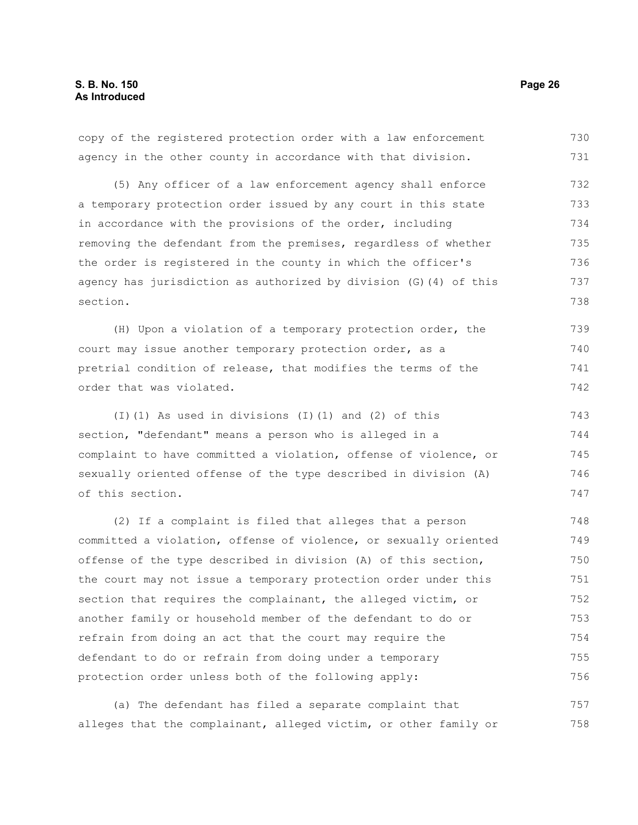copy of the registered protection order with a law enforcement agency in the other county in accordance with that division. (5) Any officer of a law enforcement agency shall enforce a temporary protection order issued by any court in this state in accordance with the provisions of the order, including removing the defendant from the premises, regardless of whether the order is registered in the county in which the officer's agency has jurisdiction as authorized by division (G)(4) of this section. (H) Upon a violation of a temporary protection order, the court may issue another temporary protection order, as a pretrial condition of release, that modifies the terms of the order that was violated. (I)(1) As used in divisions (I)(1) and (2) of this section, "defendant" means a person who is alleged in a complaint to have committed a violation, offense of violence, or sexually oriented offense of the type described in division (A) of this section. (2) If a complaint is filed that alleges that a person committed a violation, offense of violence, or sexually oriented offense of the type described in division (A) of this section, the court may not issue a temporary protection order under this section that requires the complainant, the alleged victim, or another family or household member of the defendant to do or refrain from doing an act that the court may require the defendant to do or refrain from doing under a temporary 730 731 732 733 734 735 736 737 738 739 740 741 742 743 744 745 746 747 748 749 750 751 752 753 754 755

(a) The defendant has filed a separate complaint that alleges that the complainant, alleged victim, or other family or 757 758

protection order unless both of the following apply: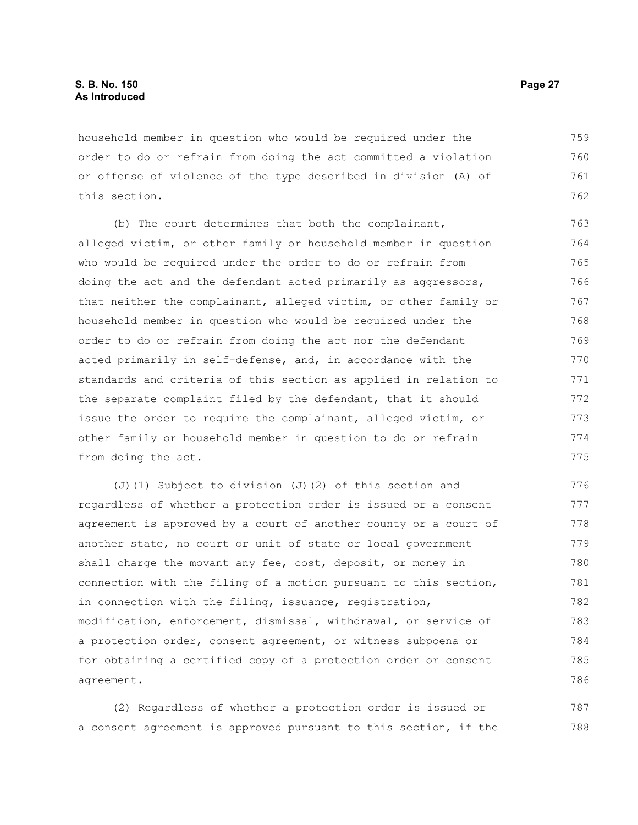household member in question who would be required under the order to do or refrain from doing the act committed a violation or offense of violence of the type described in division (A) of this section. 759 760 761 762

(b) The court determines that both the complainant, alleged victim, or other family or household member in question who would be required under the order to do or refrain from doing the act and the defendant acted primarily as aggressors, that neither the complainant, alleged victim, or other family or household member in question who would be required under the order to do or refrain from doing the act nor the defendant acted primarily in self-defense, and, in accordance with the standards and criteria of this section as applied in relation to the separate complaint filed by the defendant, that it should issue the order to require the complainant, alleged victim, or other family or household member in question to do or refrain from doing the act. 763 764 765 766 767 768 769 770 771 772 773 774 775

(J)(1) Subject to division (J)(2) of this section and regardless of whether a protection order is issued or a consent agreement is approved by a court of another county or a court of another state, no court or unit of state or local government shall charge the movant any fee, cost, deposit, or money in connection with the filing of a motion pursuant to this section, in connection with the filing, issuance, registration, modification, enforcement, dismissal, withdrawal, or service of a protection order, consent agreement, or witness subpoena or for obtaining a certified copy of a protection order or consent agreement. 776 777 778 779 780 781 782 783 784 785 786

(2) Regardless of whether a protection order is issued or a consent agreement is approved pursuant to this section, if the 787 788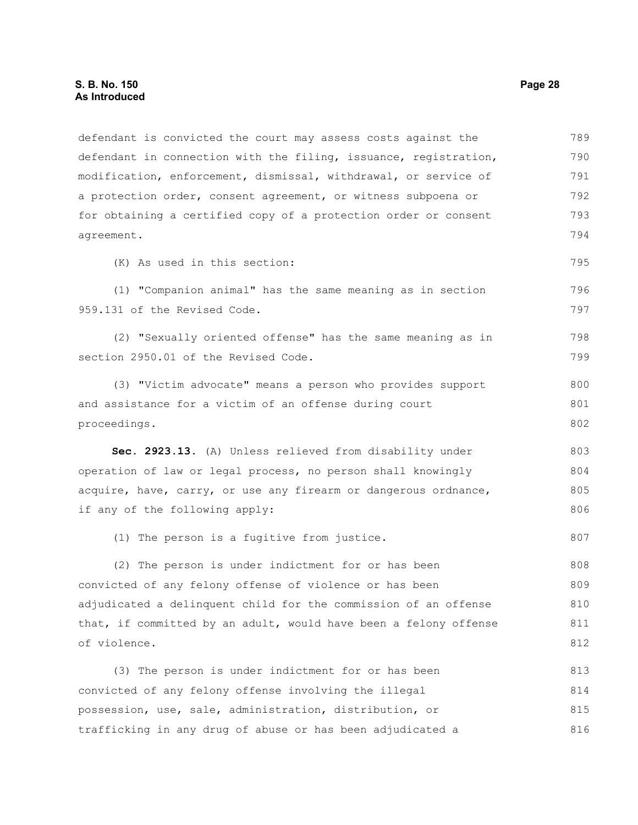defendant in connection with the filing, issuance, registration, modification, enforcement, dismissal, withdrawal, or service of a protection order, consent agreement, or witness subpoena or for obtaining a certified copy of a protection order or consent agreement. (K) As used in this section: (1) "Companion animal" has the same meaning as in section 959.131 of the Revised Code. (2) "Sexually oriented offense" has the same meaning as in section 2950.01 of the Revised Code. (3) "Victim advocate" means a person who provides support and assistance for a victim of an offense during court proceedings. **Sec. 2923.13.** (A) Unless relieved from disability under operation of law or legal process, no person shall knowingly acquire, have, carry, or use any firearm or dangerous ordnance, if any of the following apply: (1) The person is a fugitive from justice. (2) The person is under indictment for or has been convicted of any felony offense of violence or has been adjudicated a delinquent child for the commission of an offense that, if committed by an adult, would have been a felony offense of violence. 790 791 792 793 794 795 796 797 798 799 800 801 802 803 804 805 806 807 808 809 810 811 812

defendant is convicted the court may assess costs against the

(3) The person is under indictment for or has been convicted of any felony offense involving the illegal possession, use, sale, administration, distribution, or trafficking in any drug of abuse or has been adjudicated a 813 814 815 816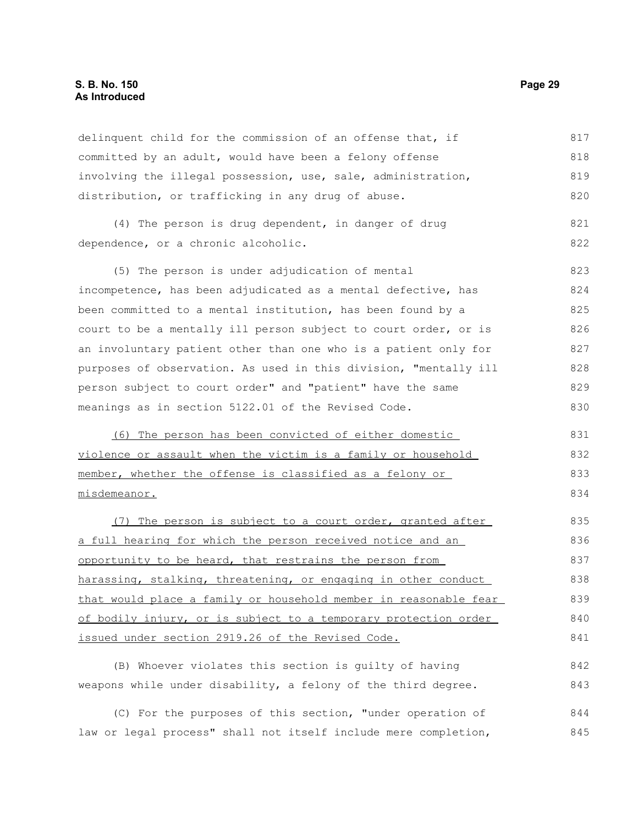## **S. B. No. 150 Page 29 As Introduced**

delinquent child for the commission of an offense that, if committed by an adult, would have been a felony offense involving the illegal possession, use, sale, administration, distribution, or trafficking in any drug of abuse. (4) The person is drug dependent, in danger of drug dependence, or a chronic alcoholic. (5) The person is under adjudication of mental incompetence, has been adjudicated as a mental defective, has been committed to a mental institution, has been found by a court to be a mentally ill person subject to court order, or is an involuntary patient other than one who is a patient only for purposes of observation. As used in this division, "mentally ill person subject to court order" and "patient" have the same meanings as in section 5122.01 of the Revised Code. (6) The person has been convicted of either domestic violence or assault when the victim is a family or household member, whether the offense is classified as a felony or misdemeanor. (7) The person is subject to a court order, granted after a full hearing for which the person received notice and an opportunity to be heard, that restrains the person from harassing, stalking, threatening, or engaging in other conduct that would place a family or household member in reasonable fear of bodily injury, or is subject to a temporary protection order issued under section 2919.26 of the Revised Code. (B) Whoever violates this section is guilty of having weapons while under disability, a felony of the third degree. 817 818 819 820 821 822 823 824 825 826 827 828 829 830 831 832 833 834 835 836 837 838 839 840 841 842 843

(C) For the purposes of this section, "under operation of law or legal process" shall not itself include mere completion, 844 845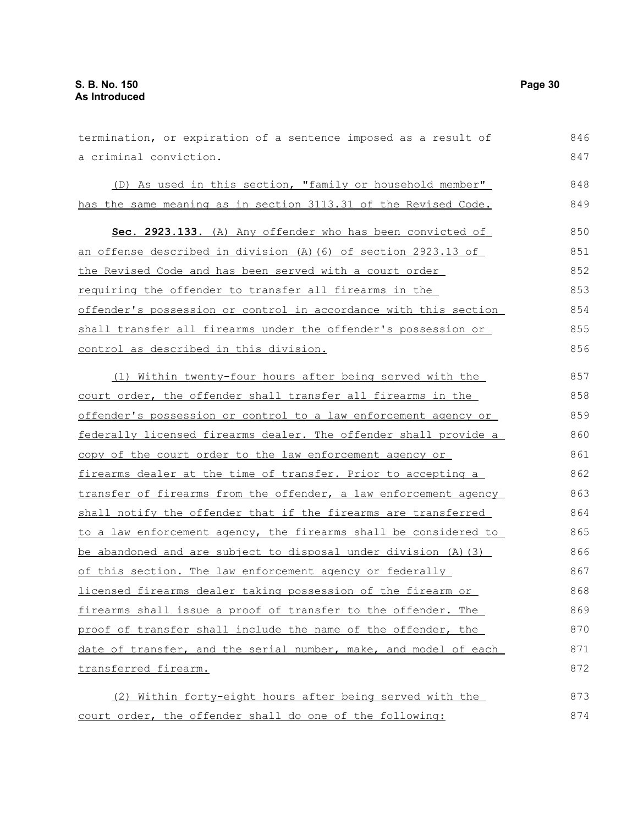a criminal conviction.

termination, or expiration of a sentence imposed as a result of (D) As used in this section, "family or household member" has the same meaning as in section 3113.31 of the Revised Code. 846 847 848 849

 **Sec. 2923.133.** (A) Any offender who has been convicted of an offense described in division (A)(6) of section 2923.13 of the Revised Code and has been served with a court order requiring the offender to transfer all firearms in the offender's possession or control in accordance with this section shall transfer all firearms under the offender's possession or control as described in this division. 850 851 852 853 854 855 856

(1) Within twenty-four hours after being served with the court order, the offender shall transfer all firearms in the offender's possession or control to a law enforcement agency or federally licensed firearms dealer. The offender shall provide a copy of the court order to the law enforcement agency or firearms dealer at the time of transfer. Prior to accepting a transfer of firearms from the offender, a law enforcement agency shall notify the offender that if the firearms are transferred to a law enforcement agency, the firearms shall be considered to be abandoned and are subject to disposal under division (A)(3) of this section. The law enforcement agency or federally licensed firearms dealer taking possession of the firearm or firearms shall issue a proof of transfer to the offender. The proof of transfer shall include the name of the offender, the date of transfer, and the serial number, make, and model of each transferred firearm. 857 858 859 860 861 862 863 864 865 866 867 868 869 870 871 872

(2) Within forty-eight hours after being served with the court order, the offender shall do one of the following: 873 874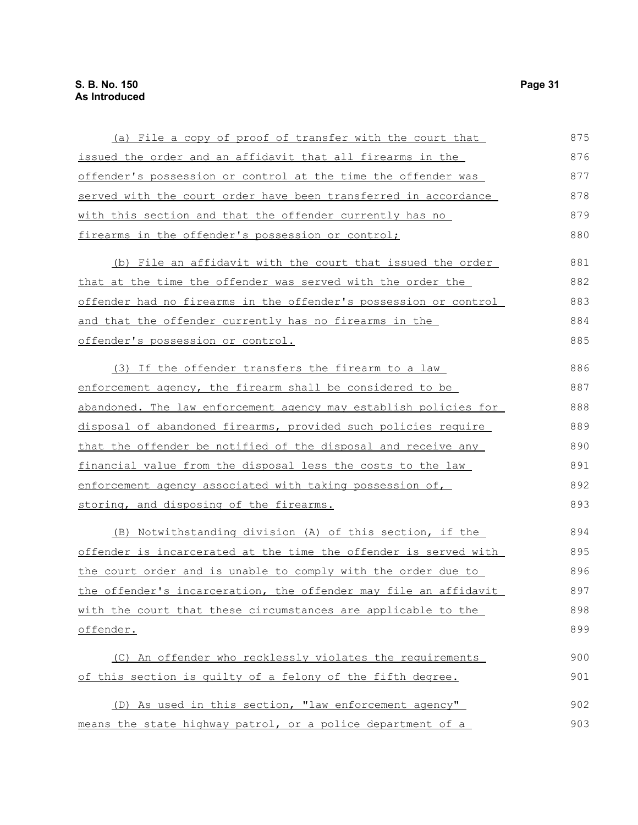| (a) File a copy of proof of transfer with the court that         | 875 |
|------------------------------------------------------------------|-----|
| issued the order and an affidavit that all firearms in the       | 876 |
| offender's possession or control at the time the offender was    | 877 |
| served with the court order have been transferred in accordance  | 878 |
| with this section and that the offender currently has no         | 879 |
| firearms in the offender's possession or control;                | 880 |
| (b) File an affidavit with the court that issued the order       | 881 |
| that at the time the offender was served with the order the      | 882 |
| offender had no firearms in the offender's possession or control | 883 |
| and that the offender currently has no firearms in the           | 884 |
| offender's possession or control.                                | 885 |
| (3) If the offender transfers the firearm to a law               | 886 |
| enforcement agency, the firearm shall be considered to be        | 887 |
| abandoned. The law enforcement agency may establish policies for | 888 |
| disposal of abandoned firearms, provided such policies require   | 889 |
| that the offender be notified of the disposal and receive any    | 890 |
| financial value from the disposal less the costs to the law      | 891 |
| enforcement agency associated with taking possession of,         | 892 |
| storing, and disposing of the firearms.                          | 893 |
| (B) Notwithstanding division (A) of this section, if the         | 894 |
| offender is incarcerated at the time the offender is served with | 895 |
| the court order and is unable to comply with the order due to    | 896 |
| the offender's incarceration, the offender may file an affidavit | 897 |
| with the court that these circumstances are applicable to the    | 898 |
| offender.                                                        | 899 |
| (C) An offender who recklessly violates the requirements         | 900 |
| of this section is quilty of a felony of the fifth degree.       | 901 |
| (D) As used in this section, "law enforcement agency"            | 902 |
| means the state highway patrol, or a police department of a      | 903 |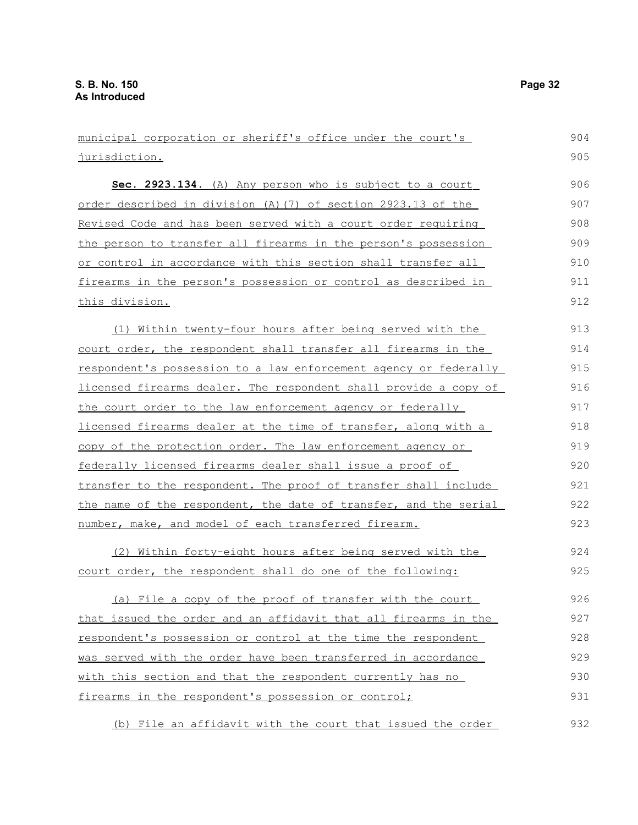municipal corporation or sheriff's office under the court's jurisdiction. **Sec. 2923.134.** (A) Any person who is subject to a court order described in division (A)(7) of section 2923.13 of the Revised Code and has been served with a court order requiring the person to transfer all firearms in the person's possession or control in accordance with this section shall transfer all firearms in the person's possession or control as described in this division. (1) Within twenty-four hours after being served with the court order, the respondent shall transfer all firearms in the respondent's possession to a law enforcement agency or federally licensed firearms dealer. The respondent shall provide a copy of the court order to the law enforcement agency or federally licensed firearms dealer at the time of transfer, along with a copy of the protection order. The law enforcement agency or federally licensed firearms dealer shall issue a proof of transfer to the respondent. The proof of transfer shall include the name of the respondent, the date of transfer, and the serial number, make, and model of each transferred firearm. (2) Within forty-eight hours after being served with the court order, the respondent shall do one of the following: 904 905 906 907 908 909 910 911 912 913 914 915 916 917 918 919 920 921 922 923 924 925

(a) File a copy of the proof of transfer with the court that issued the order and an affidavit that all firearms in the respondent's possession or control at the time the respondent was served with the order have been transferred in accordance with this section and that the respondent currently has no firearms in the respondent's possession or control; 926 927 928 929 930 931

(b) File an affidavit with the court that issued the order 932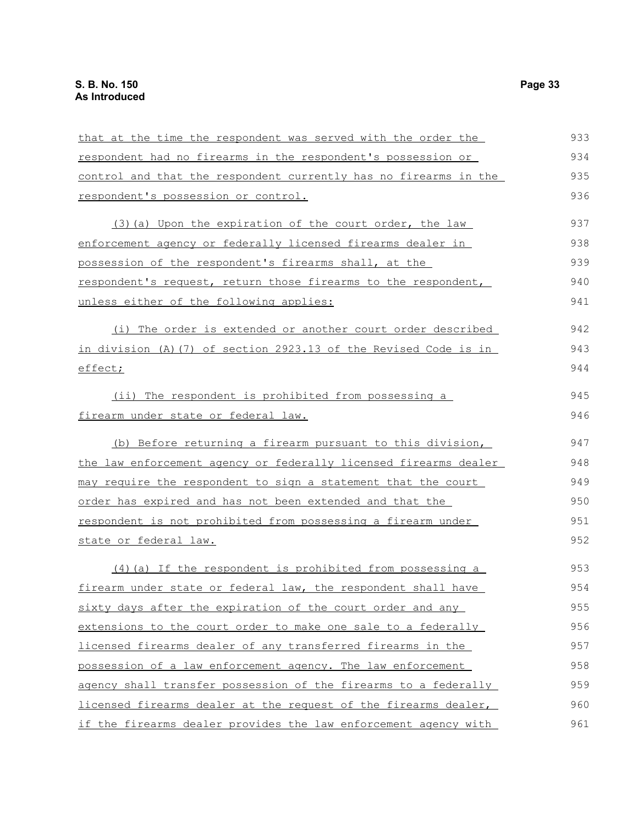| that at the time the respondent was served with the order the    | 933 |
|------------------------------------------------------------------|-----|
| respondent had no firearms in the respondent's possession or     | 934 |
| control and that the respondent currently has no firearms in the | 935 |
| respondent's possession or control.                              | 936 |
| (3) (a) Upon the expiration of the court order, the law          | 937 |
| enforcement agency or federally licensed firearms dealer in      | 938 |
| possession of the respondent's firearms shall, at the            | 939 |
| respondent's request, return those firearms to the respondent,   | 940 |
| unless either of the following applies:                          | 941 |
| (i) The order is extended or another court order described       | 942 |
| in division (A) (7) of section 2923.13 of the Revised Code is in | 943 |
| effect;                                                          | 944 |
| (ii) The respondent is prohibited from possessing a              | 945 |
| firearm under state or federal law.                              | 946 |
| (b) Before returning a firearm pursuant to this division,        | 947 |
| the law enforcement agency or federally licensed firearms dealer | 948 |
| may require the respondent to sign a statement that the court    | 949 |
| order has expired and has not been extended and that the         | 950 |
| respondent is not prohibited from possessing a firearm under     | 951 |
| state or federal law.                                            | 952 |
| (4) (a) If the respondent is prohibited from possessing a        | 953 |
| firearm under state or federal law, the respondent shall have    | 954 |
| sixty days after the expiration of the court order and any       | 955 |
| extensions to the court order to make one sale to a federally    | 956 |
| licensed firearms dealer of any transferred firearms in the      | 957 |
| possession of a law enforcement agency. The law enforcement      | 958 |
| agency shall transfer possession of the firearms to a federally  | 959 |
| licensed firearms dealer at the request of the firearms dealer,  | 960 |
| if the firearms dealer provides the law enforcement agency with  | 961 |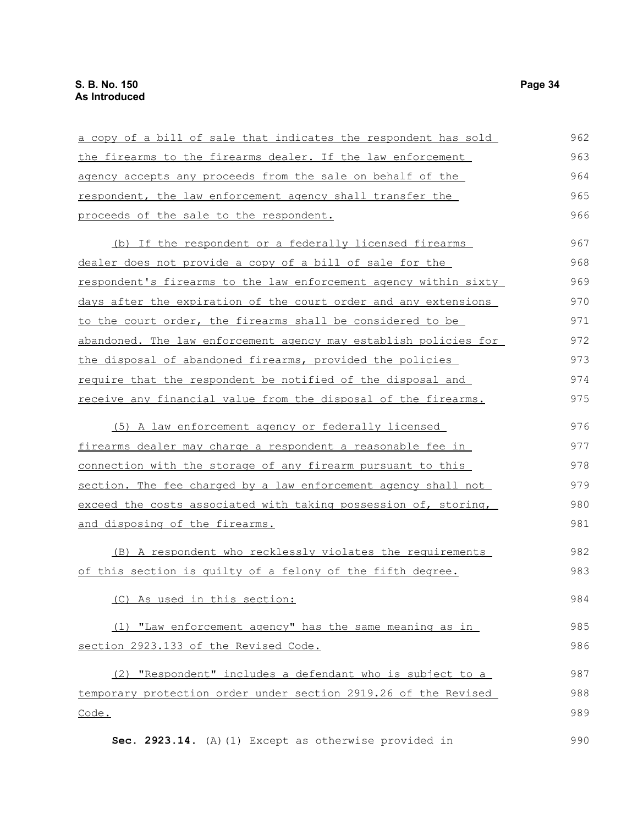| a copy of a bill of sale that indicates the respondent has sold  | 962 |
|------------------------------------------------------------------|-----|
| the firearms to the firearms dealer. If the law enforcement      | 963 |
| agency accepts any proceeds from the sale on behalf of the       | 964 |
| respondent, the law enforcement agency shall transfer the        | 965 |
| proceeds of the sale to the respondent.                          | 966 |
| (b) If the respondent or a federally licensed firearms           | 967 |
| dealer does not provide a copy of a bill of sale for the         | 968 |
| respondent's firearms to the law enforcement agency within sixty | 969 |
| days after the expiration of the court order and any extensions  | 970 |
| to the court order, the firearms shall be considered to be       | 971 |
| abandoned. The law enforcement agency may establish policies for | 972 |
| the disposal of abandoned firearms, provided the policies        | 973 |
| require that the respondent be notified of the disposal and      | 974 |
| receive any financial value from the disposal of the firearms.   | 975 |
| (5) A law enforcement agency or federally licensed               | 976 |
| firearms dealer may charge a respondent a reasonable fee in      | 977 |
| connection with the storage of any firearm pursuant to this      | 978 |
| section. The fee charged by a law enforcement agency shall not   | 979 |
| exceed the costs associated with taking possession of, storing,  | 980 |
| and disposing of the firearms.                                   | 981 |
| (B) A respondent who recklessly violates the requirements        | 982 |
| of this section is quilty of a felony of the fifth degree.       | 983 |
| (C) As used in this section:                                     | 984 |
| (1) "Law enforcement agency" has the same meaning as in          | 985 |
| section 2923.133 of the Revised Code.                            | 986 |
| (2) "Respondent" includes a defendant who is subject to a        | 987 |
| temporary protection order under section 2919.26 of the Revised  | 988 |
| Code.                                                            | 989 |
| Sec. 2923.14. (A) (1) Except as otherwise provided in            | 990 |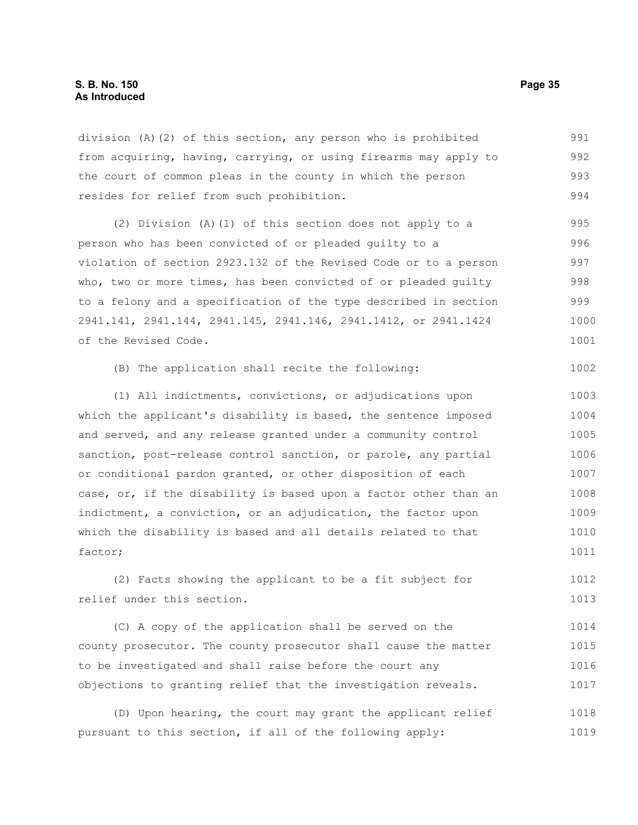#### **S. B. No. 150 Page 35 As Introduced**

division (A)(2) of this section, any person who is prohibited from acquiring, having, carrying, or using firearms may apply to the court of common pleas in the county in which the person resides for relief from such prohibition. 991 992 993 994

(2) Division (A)(1) of this section does not apply to a person who has been convicted of or pleaded guilty to a violation of section 2923.132 of the Revised Code or to a person who, two or more times, has been convicted of or pleaded guilty to a felony and a specification of the type described in section 2941.141, 2941.144, 2941.145, 2941.146, 2941.1412, or 2941.1424 of the Revised Code. 995 996 997 998 999 1000 1001

(B) The application shall recite the following:

(1) All indictments, convictions, or adjudications upon which the applicant's disability is based, the sentence imposed and served, and any release granted under a community control sanction, post-release control sanction, or parole, any partial or conditional pardon granted, or other disposition of each case, or, if the disability is based upon a factor other than an indictment, a conviction, or an adjudication, the factor upon which the disability is based and all details related to that factor; 1003 1004 1005 1006 1007 1008 1009 1010 1011

(2) Facts showing the applicant to be a fit subject for relief under this section. 1012 1013

(C) A copy of the application shall be served on the county prosecutor. The county prosecutor shall cause the matter to be investigated and shall raise before the court any objections to granting relief that the investigation reveals. 1014 1015 1016 1017

(D) Upon hearing, the court may grant the applicant relief pursuant to this section, if all of the following apply: 1018 1019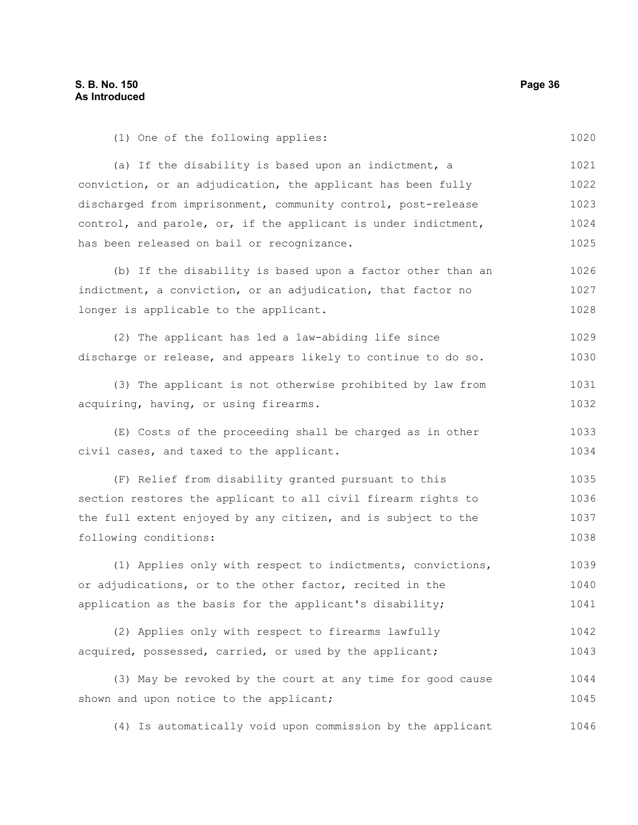| (1) One of the following applies:                              | 1020 |
|----------------------------------------------------------------|------|
| (a) If the disability is based upon an indictment, a           | 1021 |
| conviction, or an adjudication, the applicant has been fully   | 1022 |
| discharged from imprisonment, community control, post-release  | 1023 |
| control, and parole, or, if the applicant is under indictment, | 1024 |
| has been released on bail or recognizance.                     | 1025 |
| (b) If the disability is based upon a factor other than an     | 1026 |
| indictment, a conviction, or an adjudication, that factor no   | 1027 |
| longer is applicable to the applicant.                         | 1028 |
| (2) The applicant has led a law-abiding life since             | 1029 |
| discharge or release, and appears likely to continue to do so. | 1030 |
| (3) The applicant is not otherwise prohibited by law from      | 1031 |
| acquiring, having, or using firearms.                          | 1032 |
| (E) Costs of the proceeding shall be charged as in other       | 1033 |
| civil cases, and taxed to the applicant.                       | 1034 |
| (F) Relief from disability granted pursuant to this            | 1035 |
| section restores the applicant to all civil firearm rights to  | 1036 |
| the full extent enjoyed by any citizen, and is subject to the  | 1037 |
| following conditions:                                          | 1038 |
| (1) Applies only with respect to indictments, convictions,     | 1039 |
| or adjudications, or to the other factor, recited in the       | 1040 |
| application as the basis for the applicant's disability;       | 1041 |
| (2) Applies only with respect to firearms lawfully             | 1042 |
| acquired, possessed, carried, or used by the applicant;        | 1043 |
| (3) May be revoked by the court at any time for good cause     | 1044 |
| shown and upon notice to the applicant;                        | 1045 |
| (4) Is automatically void upon commission by the applicant     | 1046 |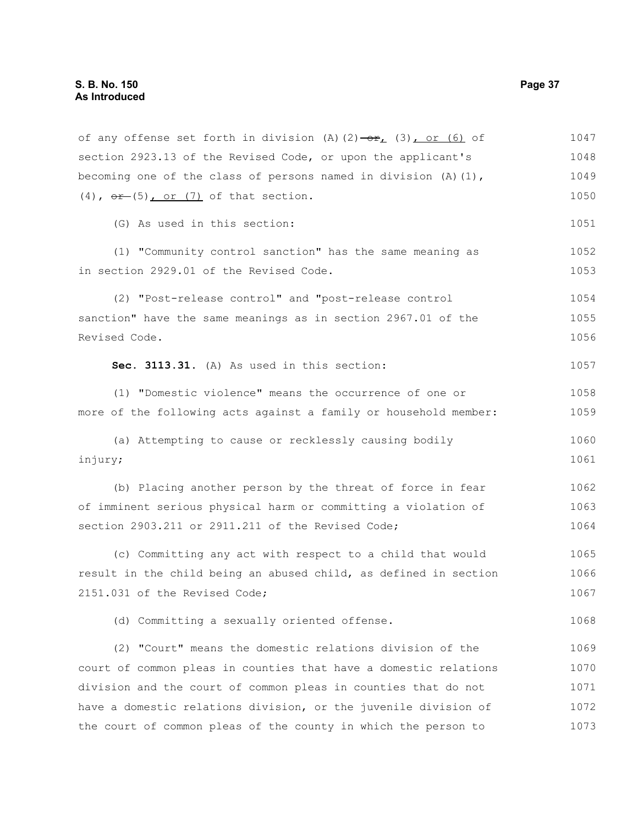| of any offense set forth in division (A) $(2)$ $-$ or (3), or (6) of | 1047 |
|----------------------------------------------------------------------|------|
| section 2923.13 of the Revised Code, or upon the applicant's         | 1048 |
| becoming one of the class of persons named in division $(A)$ (1),    | 1049 |
| $(4)$ , $\theta$ $(5)$ , or $(7)$ of that section.                   | 1050 |
| (G) As used in this section:                                         | 1051 |
| (1) "Community control sanction" has the same meaning as             | 1052 |
| in section 2929.01 of the Revised Code.                              | 1053 |
| (2) "Post-release control" and "post-release control                 | 1054 |
| sanction" have the same meanings as in section 2967.01 of the        | 1055 |
| Revised Code.                                                        | 1056 |
| Sec. 3113.31. (A) As used in this section:                           | 1057 |
| (1) "Domestic violence" means the occurrence of one or               | 1058 |
| more of the following acts against a family or household member:     | 1059 |
| (a) Attempting to cause or recklessly causing bodily                 | 1060 |
| injury;                                                              | 1061 |
| (b) Placing another person by the threat of force in fear            | 1062 |
| of imminent serious physical harm or committing a violation of       | 1063 |
| section 2903.211 or 2911.211 of the Revised Code;                    | 1064 |
| (c) Committing any act with respect to a child that would            | 1065 |
| result in the child being an abused child, as defined in section     | 1066 |
| 2151.031 of the Revised Code;                                        | 1067 |
| (d) Committing a sexually oriented offense.                          | 1068 |
| (2) "Court" means the domestic relations division of the             | 1069 |
| court of common pleas in counties that have a domestic relations     | 1070 |
| division and the court of common pleas in counties that do not       | 1071 |
| have a domestic relations division, or the juvenile division of      | 1072 |
| the court of common pleas of the county in which the person to       | 1073 |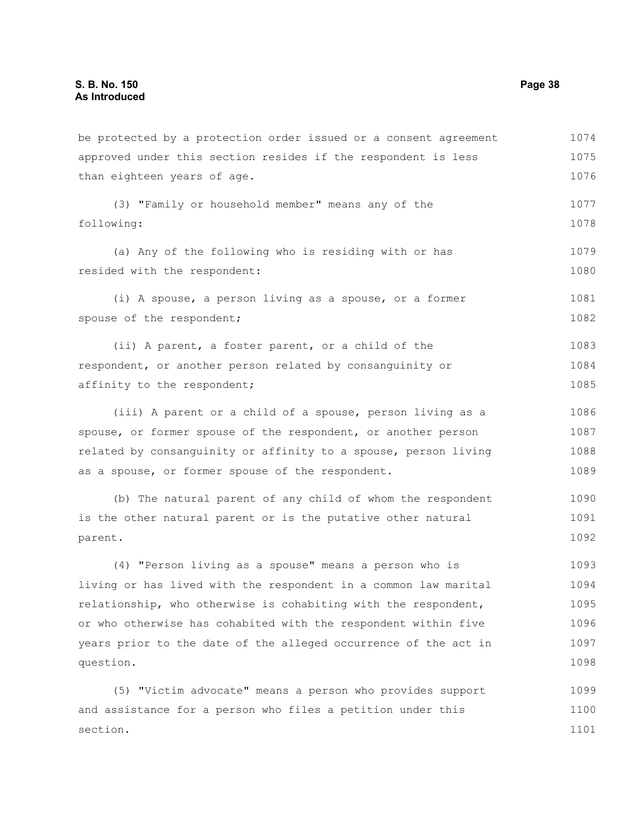section.

be protected by a protection order issued or a consent agreement approved under this section resides if the respondent is less than eighteen years of age. (3) "Family or household member" means any of the following: (a) Any of the following who is residing with or has resided with the respondent: (i) A spouse, a person living as a spouse, or a former spouse of the respondent; (ii) A parent, a foster parent, or a child of the respondent, or another person related by consanguinity or affinity to the respondent; (iii) A parent or a child of a spouse, person living as a spouse, or former spouse of the respondent, or another person related by consanguinity or affinity to a spouse, person living as a spouse, or former spouse of the respondent. (b) The natural parent of any child of whom the respondent is the other natural parent or is the putative other natural parent. (4) "Person living as a spouse" means a person who is living or has lived with the respondent in a common law marital relationship, who otherwise is cohabiting with the respondent, or who otherwise has cohabited with the respondent within five years prior to the date of the alleged occurrence of the act in question. (5) "Victim advocate" means a person who provides support and assistance for a person who files a petition under this 1074 1075 1076 1077 1078 1079 1080 1081 1082 1083 1084 1085 1086 1087 1088 1089 1090 1091 1092 1093 1094 1095 1096 1097 1098 1099 1100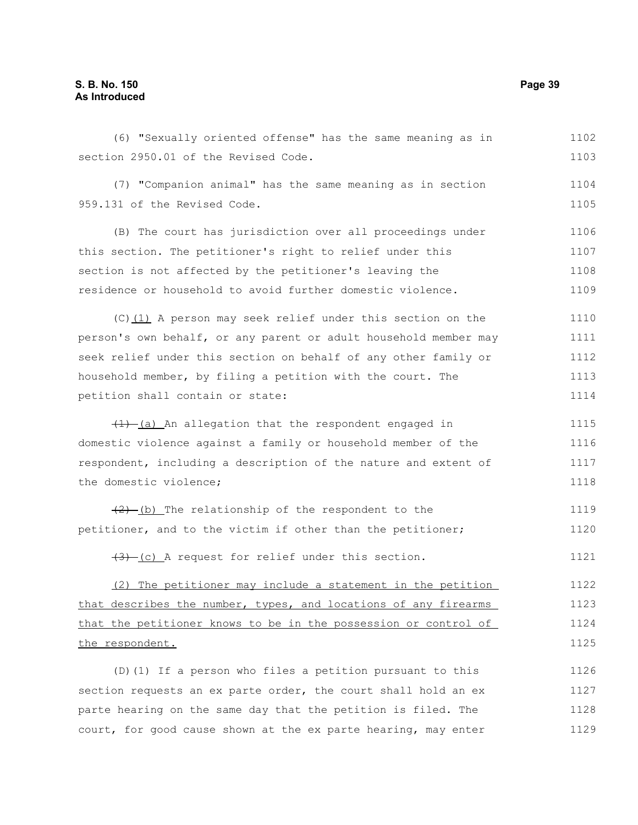# **S. B. No. 150 Page 39 As Introduced**

(6) "Sexually oriented offense" has the same meaning as in section 2950.01 of the Revised Code. (7) "Companion animal" has the same meaning as in section 959.131 of the Revised Code. (B) The court has jurisdiction over all proceedings under this section. The petitioner's right to relief under this section is not affected by the petitioner's leaving the residence or household to avoid further domestic violence. (C)(1) A person may seek relief under this section on the person's own behalf, or any parent or adult household member may seek relief under this section on behalf of any other family or household member, by filing a petition with the court. The petition shall contain or state: (1) (a) An allegation that the respondent engaged in domestic violence against a family or household member of the respondent, including a description of the nature and extent of the domestic violence;  $(2)$  (b) The relationship of the respondent to the petitioner, and to the victim if other than the petitioner;  $(3)$  (c) A request for relief under this section. (2) The petitioner may include a statement in the petition that describes the number, types, and locations of any firearms that the petitioner knows to be in the possession or control of the respondent. (D)(1) If a person who files a petition pursuant to this section requests an ex parte order, the court shall hold an ex parte hearing on the same day that the petition is filed. The 1102 1103 1104 1105 1106 1107 1108 1109 1110 1111 1112 1113 1114 1115 1116 1117 1118 1119 1120 1121 1122 1123 1124 1125 1126 1127 1128

court, for good cause shown at the ex parte hearing, may enter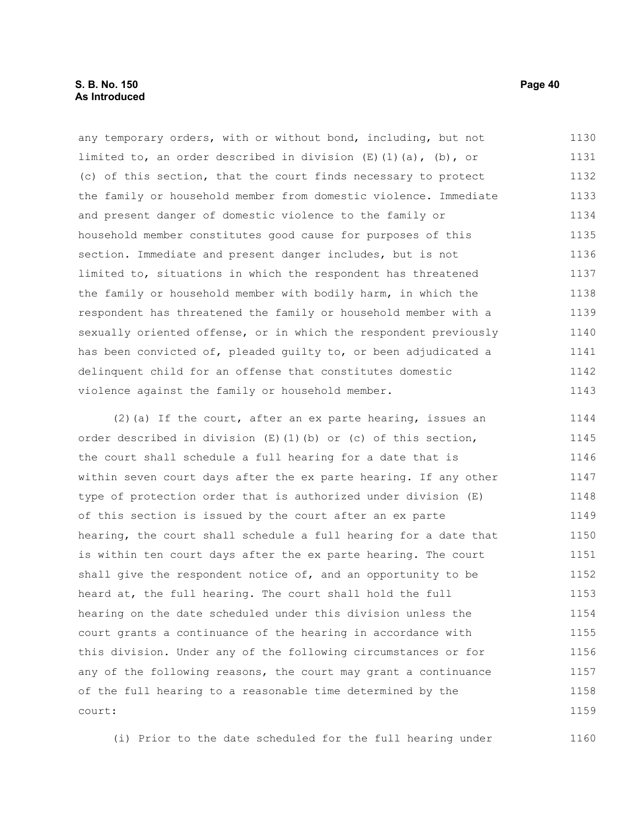any temporary orders, with or without bond, including, but not limited to, an order described in division  $(E)$  (1)(a), (b), or (c) of this section, that the court finds necessary to protect the family or household member from domestic violence. Immediate and present danger of domestic violence to the family or household member constitutes good cause for purposes of this section. Immediate and present danger includes, but is not limited to, situations in which the respondent has threatened the family or household member with bodily harm, in which the respondent has threatened the family or household member with a sexually oriented offense, or in which the respondent previously has been convicted of, pleaded guilty to, or been adjudicated a delinquent child for an offense that constitutes domestic violence against the family or household member. 1130 1131 1132 1133 1134 1135 1136 1137 1138 1139 1140 1141 1142 1143

(2)(a) If the court, after an ex parte hearing, issues an order described in division  $(E)(1)(b)$  or (c) of this section, the court shall schedule a full hearing for a date that is within seven court days after the ex parte hearing. If any other type of protection order that is authorized under division (E) of this section is issued by the court after an ex parte hearing, the court shall schedule a full hearing for a date that is within ten court days after the ex parte hearing. The court shall give the respondent notice of, and an opportunity to be heard at, the full hearing. The court shall hold the full hearing on the date scheduled under this division unless the court grants a continuance of the hearing in accordance with this division. Under any of the following circumstances or for any of the following reasons, the court may grant a continuance of the full hearing to a reasonable time determined by the court: 1144 1145 1146 1147 1148 1149 1150 1151 1152 1153 1154 1155 1156 1157 1158 1159

(i) Prior to the date scheduled for the full hearing under 1160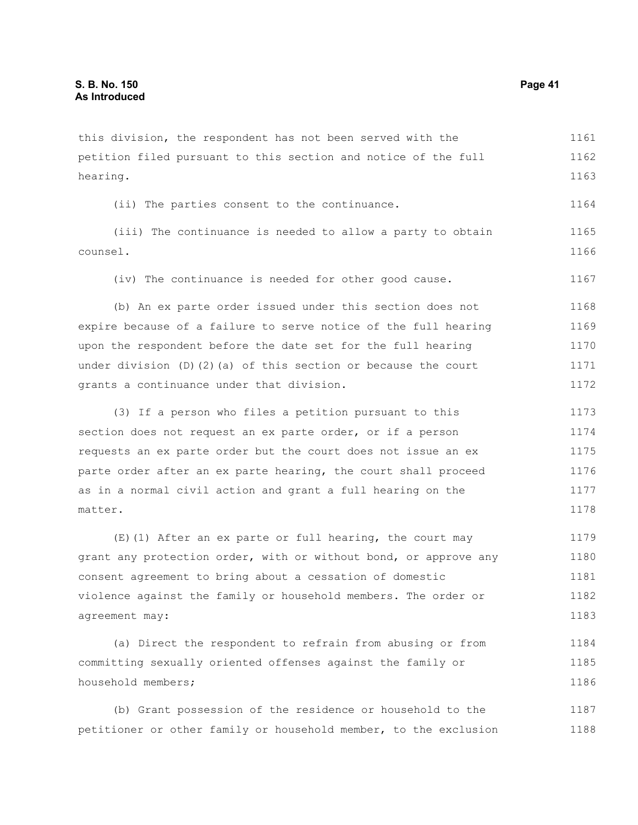this division, the respondent has not been served with the petition filed pursuant to this section and notice of the full hearing. (ii) The parties consent to the continuance. (iii) The continuance is needed to allow a party to obtain counsel. (iv) The continuance is needed for other good cause. (b) An ex parte order issued under this section does not expire because of a failure to serve notice of the full hearing upon the respondent before the date set for the full hearing under division (D)(2)(a) of this section or because the court grants a continuance under that division. (3) If a person who files a petition pursuant to this section does not request an ex parte order, or if a person requests an ex parte order but the court does not issue an ex parte order after an ex parte hearing, the court shall proceed as in a normal civil action and grant a full hearing on the matter. (E)(1) After an ex parte or full hearing, the court may grant any protection order, with or without bond, or approve any consent agreement to bring about a cessation of domestic violence against the family or household members. The order or agreement may: (a) Direct the respondent to refrain from abusing or from committing sexually oriented offenses against the family or household members; (b) Grant possession of the residence or household to the 1161 1162 1163 1164 1165 1166 1167 1168 1169 1170 1171 1172 1173 1174 1175 1176 1177 1178 1179 1180 1181 1182 1183 1184 1185 1186 1187

petitioner or other family or household member, to the exclusion 1188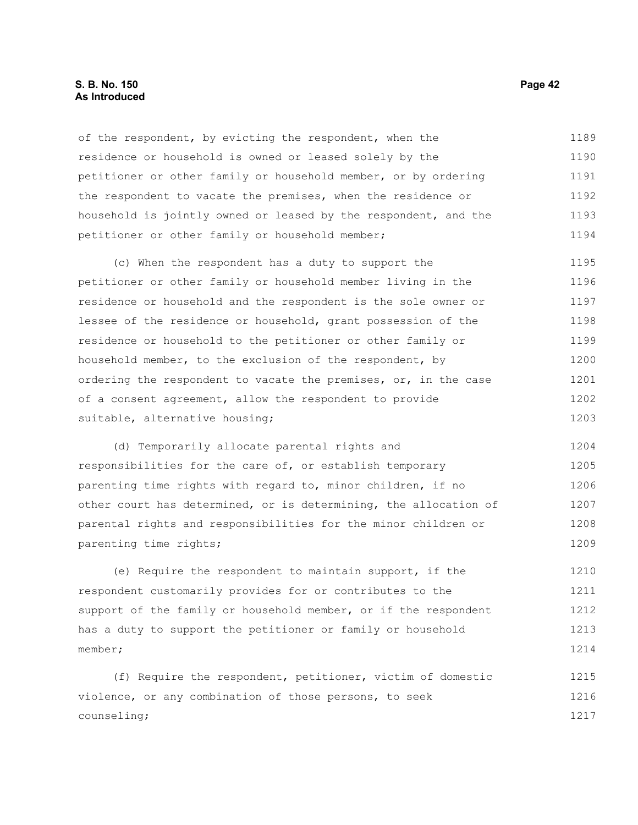#### **S. B. No. 150 Page 42 As Introduced**

of the respondent, by evicting the respondent, when the residence or household is owned or leased solely by the petitioner or other family or household member, or by ordering the respondent to vacate the premises, when the residence or household is jointly owned or leased by the respondent, and the petitioner or other family or household member; 1189 1190 1191 1192 1193 1194

(c) When the respondent has a duty to support the petitioner or other family or household member living in the residence or household and the respondent is the sole owner or lessee of the residence or household, grant possession of the residence or household to the petitioner or other family or household member, to the exclusion of the respondent, by ordering the respondent to vacate the premises, or, in the case of a consent agreement, allow the respondent to provide suitable, alternative housing; 1195 1196 1197 1198 1199 1200 1201 1202 1203

(d) Temporarily allocate parental rights and responsibilities for the care of, or establish temporary parenting time rights with regard to, minor children, if no other court has determined, or is determining, the allocation of parental rights and responsibilities for the minor children or parenting time rights; 1204 1205 1206 1207 1208 1209

(e) Require the respondent to maintain support, if the respondent customarily provides for or contributes to the support of the family or household member, or if the respondent has a duty to support the petitioner or family or household member; 1210 1211 1212 1213 1214

(f) Require the respondent, petitioner, victim of domestic violence, or any combination of those persons, to seek counseling; 1215 1216 1217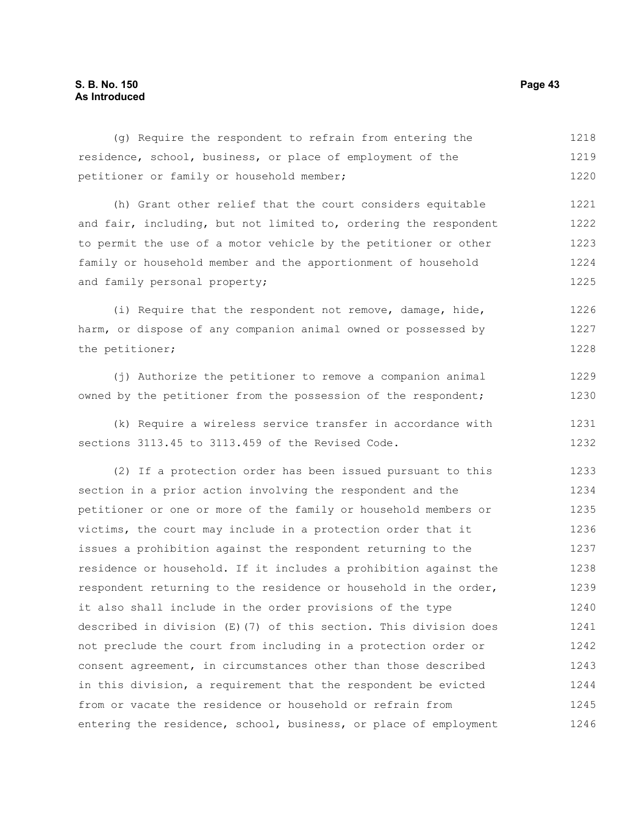# **S. B. No. 150 Page 43 As Introduced**

(g) Require the respondent to refrain from entering the residence, school, business, or place of employment of the petitioner or family or household member; (h) Grant other relief that the court considers equitable and fair, including, but not limited to, ordering the respondent to permit the use of a motor vehicle by the petitioner or other family or household member and the apportionment of household and family personal property; (i) Require that the respondent not remove, damage, hide, harm, or dispose of any companion animal owned or possessed by the petitioner; (j) Authorize the petitioner to remove a companion animal owned by the petitioner from the possession of the respondent; (k) Require a wireless service transfer in accordance with sections 3113.45 to 3113.459 of the Revised Code. (2) If a protection order has been issued pursuant to this section in a prior action involving the respondent and the petitioner or one or more of the family or household members or victims, the court may include in a protection order that it issues a prohibition against the respondent returning to the residence or household. If it includes a prohibition against the respondent returning to the residence or household in the order, it also shall include in the order provisions of the type described in division (E)(7) of this section. This division does not preclude the court from including in a protection order or consent agreement, in circumstances other than those described in this division, a requirement that the respondent be evicted from or vacate the residence or household or refrain from entering the residence, school, business, or place of employment 1218 1219 1220 1221 1222 1223 1224 1225 1226 1227 1228 1229 1230 1231 1232 1233 1234 1235 1236 1237 1238 1239 1240 1241 1242 1243 1244 1245 1246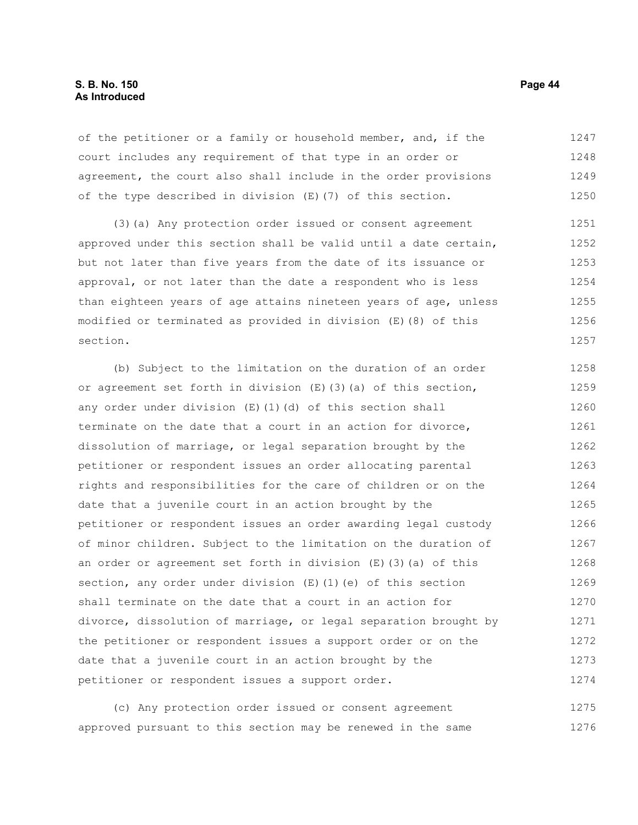# **S. B. No. 150 Page 44 As Introduced**

of the petitioner or a family or household member, and, if the court includes any requirement of that type in an order or agreement, the court also shall include in the order provisions of the type described in division  $(E)$  (7) of this section. 1247 1248 1249 1250

(3)(a) Any protection order issued or consent agreement approved under this section shall be valid until a date certain, but not later than five years from the date of its issuance or approval, or not later than the date a respondent who is less than eighteen years of age attains nineteen years of age, unless modified or terminated as provided in division (E)(8) of this section. 1251 1252 1253 1254 1255 1256 1257

(b) Subject to the limitation on the duration of an order or agreement set forth in division (E)(3)(a) of this section, any order under division (E)(1)(d) of this section shall terminate on the date that a court in an action for divorce, dissolution of marriage, or legal separation brought by the petitioner or respondent issues an order allocating parental rights and responsibilities for the care of children or on the date that a juvenile court in an action brought by the petitioner or respondent issues an order awarding legal custody of minor children. Subject to the limitation on the duration of an order or agreement set forth in division  $(E)$  (3)(a) of this section, any order under division (E)(1)(e) of this section shall terminate on the date that a court in an action for divorce, dissolution of marriage, or legal separation brought by the petitioner or respondent issues a support order or on the date that a juvenile court in an action brought by the petitioner or respondent issues a support order. 1258 1259 1260 1261 1262 1263 1264 1265 1266 1267 1268 1269 1270 1271 1272 1273 1274

(c) Any protection order issued or consent agreement approved pursuant to this section may be renewed in the same 1275 1276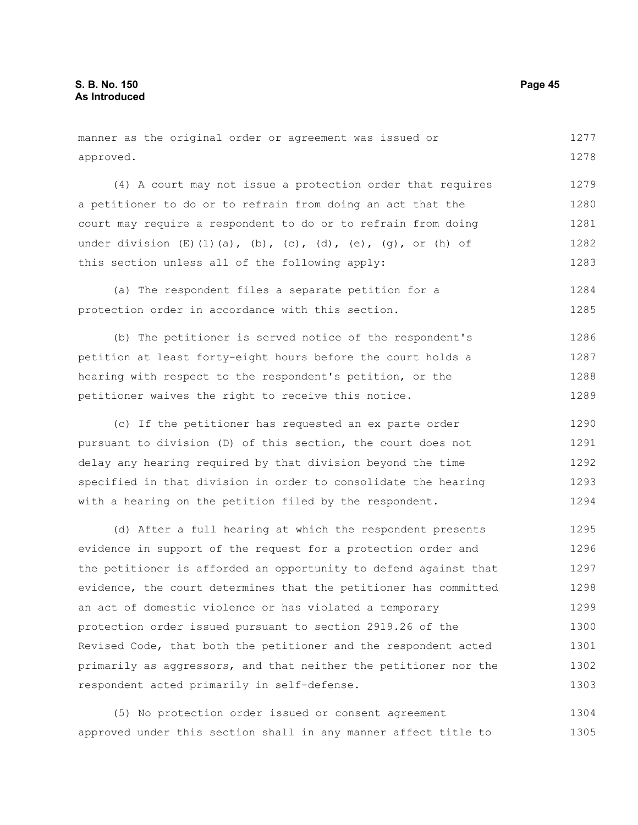manner as the original order or agreement was issued or approved. 1277 1278

(4) A court may not issue a protection order that requires a petitioner to do or to refrain from doing an act that the court may require a respondent to do or to refrain from doing under division  $(E)(1)(a)$ ,  $(b)$ ,  $(c)$ ,  $(d)$ ,  $(e)$ ,  $(q)$ , or  $(h)$  of this section unless all of the following apply: 1279 1280 1281 1282 1283

(a) The respondent files a separate petition for a protection order in accordance with this section. 1284 1285

(b) The petitioner is served notice of the respondent's petition at least forty-eight hours before the court holds a hearing with respect to the respondent's petition, or the petitioner waives the right to receive this notice. 1286 1287 1288 1289

(c) If the petitioner has requested an ex parte order pursuant to division (D) of this section, the court does not delay any hearing required by that division beyond the time specified in that division in order to consolidate the hearing with a hearing on the petition filed by the respondent. 1290 1291 1292 1293 1294

(d) After a full hearing at which the respondent presents evidence in support of the request for a protection order and the petitioner is afforded an opportunity to defend against that evidence, the court determines that the petitioner has committed an act of domestic violence or has violated a temporary protection order issued pursuant to section 2919.26 of the Revised Code, that both the petitioner and the respondent acted primarily as aggressors, and that neither the petitioner nor the respondent acted primarily in self-defense. 1295 1296 1297 1298 1299 1300 1301 1302 1303

(5) No protection order issued or consent agreement approved under this section shall in any manner affect title to 1304 1305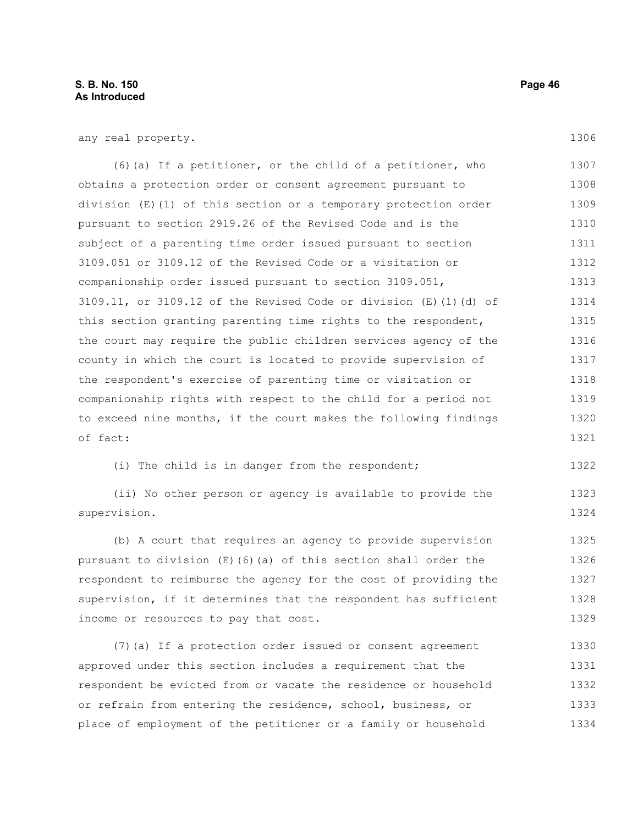| any real property. |  |
|--------------------|--|
|--------------------|--|

1306

1322

(6)(a) If a petitioner, or the child of a petitioner, who obtains a protection order or consent agreement pursuant to division (E)(1) of this section or a temporary protection order pursuant to section 2919.26 of the Revised Code and is the subject of a parenting time order issued pursuant to section 3109.051 or 3109.12 of the Revised Code or a visitation or companionship order issued pursuant to section 3109.051,  $3109.11$ , or  $3109.12$  of the Revised Code or division (E)(1)(d) of this section granting parenting time rights to the respondent, the court may require the public children services agency of the county in which the court is located to provide supervision of the respondent's exercise of parenting time or visitation or companionship rights with respect to the child for a period not to exceed nine months, if the court makes the following findings of fact: 1307 1308 1309 1310 1311 1312 1313 1314 1315 1316 1317 1318 1319 1320 1321

(i) The child is in danger from the respondent;

(ii) No other person or agency is available to provide the supervision. 1323 1324

(b) A court that requires an agency to provide supervision pursuant to division (E)(6)(a) of this section shall order the respondent to reimburse the agency for the cost of providing the supervision, if it determines that the respondent has sufficient income or resources to pay that cost. 1325 1326 1327 1328 1329

(7)(a) If a protection order issued or consent agreement approved under this section includes a requirement that the respondent be evicted from or vacate the residence or household or refrain from entering the residence, school, business, or place of employment of the petitioner or a family or household 1330 1331 1332 1333 1334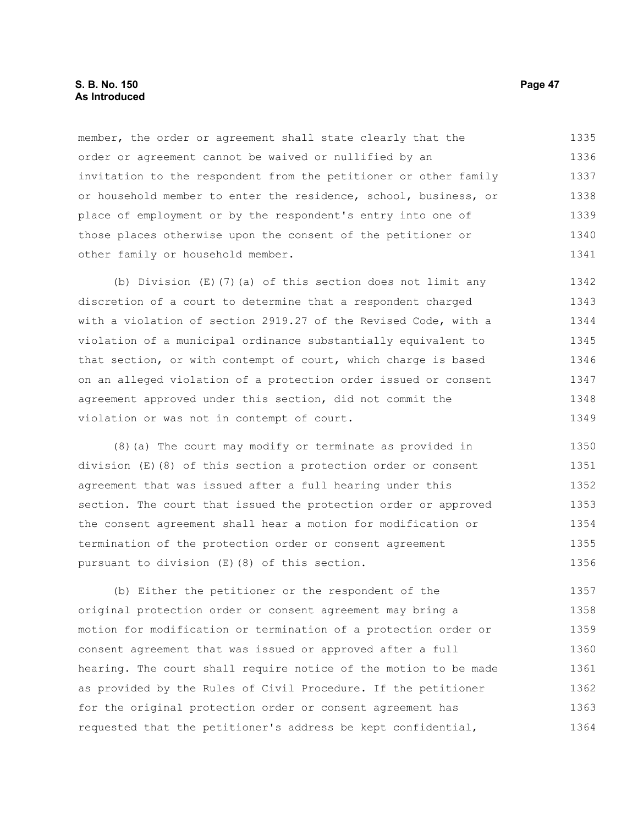## **S. B. No. 150 Page 47 As Introduced**

member, the order or agreement shall state clearly that the order or agreement cannot be waived or nullified by an invitation to the respondent from the petitioner or other family or household member to enter the residence, school, business, or place of employment or by the respondent's entry into one of those places otherwise upon the consent of the petitioner or other family or household member. 1335 1336 1337 1338 1339 1340 1341

(b) Division (E)(7)(a) of this section does not limit any discretion of a court to determine that a respondent charged with a violation of section 2919.27 of the Revised Code, with a violation of a municipal ordinance substantially equivalent to that section, or with contempt of court, which charge is based on an alleged violation of a protection order issued or consent agreement approved under this section, did not commit the violation or was not in contempt of court. 1342 1343 1344 1345 1346 1347 1348 1349

(8)(a) The court may modify or terminate as provided in division (E)(8) of this section a protection order or consent agreement that was issued after a full hearing under this section. The court that issued the protection order or approved the consent agreement shall hear a motion for modification or termination of the protection order or consent agreement pursuant to division (E)(8) of this section. 1350 1351 1352 1353 1354 1355 1356

(b) Either the petitioner or the respondent of the original protection order or consent agreement may bring a motion for modification or termination of a protection order or consent agreement that was issued or approved after a full hearing. The court shall require notice of the motion to be made as provided by the Rules of Civil Procedure. If the petitioner for the original protection order or consent agreement has requested that the petitioner's address be kept confidential, 1357 1358 1359 1360 1361 1362 1363 1364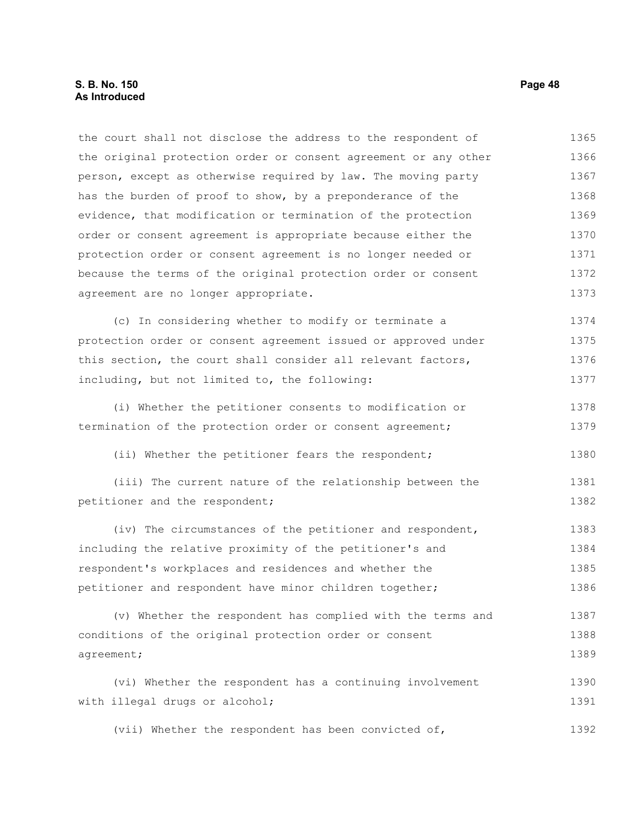# **S. B. No. 150 Page 48 As Introduced**

the court shall not disclose the address to the respondent of the original protection order or consent agreement or any other person, except as otherwise required by law. The moving party has the burden of proof to show, by a preponderance of the evidence, that modification or termination of the protection order or consent agreement is appropriate because either the protection order or consent agreement is no longer needed or because the terms of the original protection order or consent agreement are no longer appropriate. (c) In considering whether to modify or terminate a protection order or consent agreement issued or approved under this section, the court shall consider all relevant factors, including, but not limited to, the following: (i) Whether the petitioner consents to modification or termination of the protection order or consent agreement; (ii) Whether the petitioner fears the respondent; (iii) The current nature of the relationship between the petitioner and the respondent; (iv) The circumstances of the petitioner and respondent, including the relative proximity of the petitioner's and respondent's workplaces and residences and whether the petitioner and respondent have minor children together; (v) Whether the respondent has complied with the terms and conditions of the original protection order or consent agreement; (vi) Whether the respondent has a continuing involvement with illegal drugs or alcohol; (vii) Whether the respondent has been convicted of, 1365 1366 1367 1368 1369 1370 1371 1372 1373 1374 1375 1376 1377 1378 1379 1380 1381 1382 1383 1384 1385 1386 1387 1388 1389 1390 1391 1392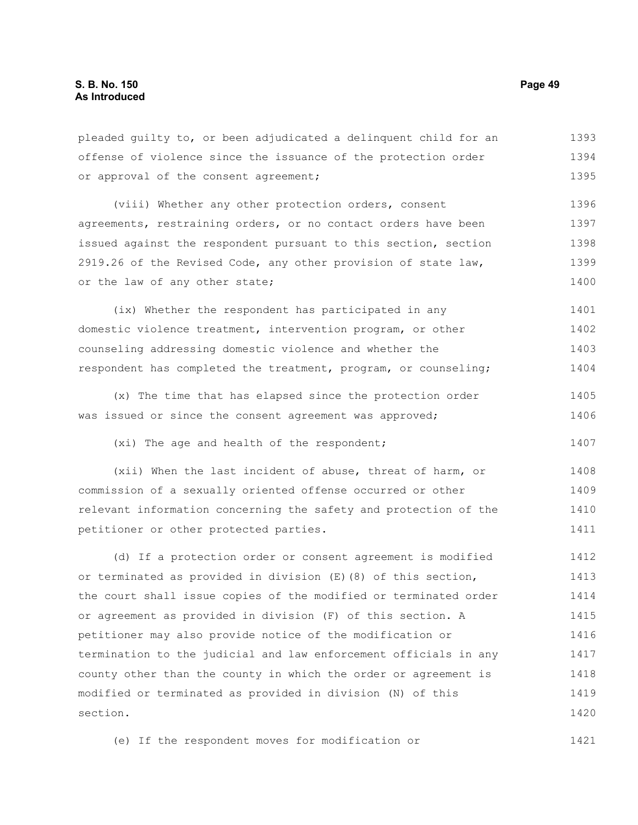pleaded guilty to, or been adjudicated a delinquent child for an offense of violence since the issuance of the protection order or approval of the consent agreement; 1393 1394 1395

(viii) Whether any other protection orders, consent agreements, restraining orders, or no contact orders have been issued against the respondent pursuant to this section, section 2919.26 of the Revised Code, any other provision of state law, or the law of any other state; 1396 1397 1398 1399 1400

(ix) Whether the respondent has participated in any domestic violence treatment, intervention program, or other counseling addressing domestic violence and whether the respondent has completed the treatment, program, or counseling; 1401 1402 1403 1404

(x) The time that has elapsed since the protection order was issued or since the consent agreement was approved; 1405 1406

(xi) The age and health of the respondent;

(xii) When the last incident of abuse, threat of harm, or commission of a sexually oriented offense occurred or other relevant information concerning the safety and protection of the petitioner or other protected parties. 1408 1409 1410 1411

(d) If a protection order or consent agreement is modified or terminated as provided in division (E)(8) of this section, the court shall issue copies of the modified or terminated order or agreement as provided in division (F) of this section. A petitioner may also provide notice of the modification or termination to the judicial and law enforcement officials in any county other than the county in which the order or agreement is modified or terminated as provided in division (N) of this section. 1412 1413 1414 1415 1416 1417 1418 1419 1420

(e) If the respondent moves for modification or 1421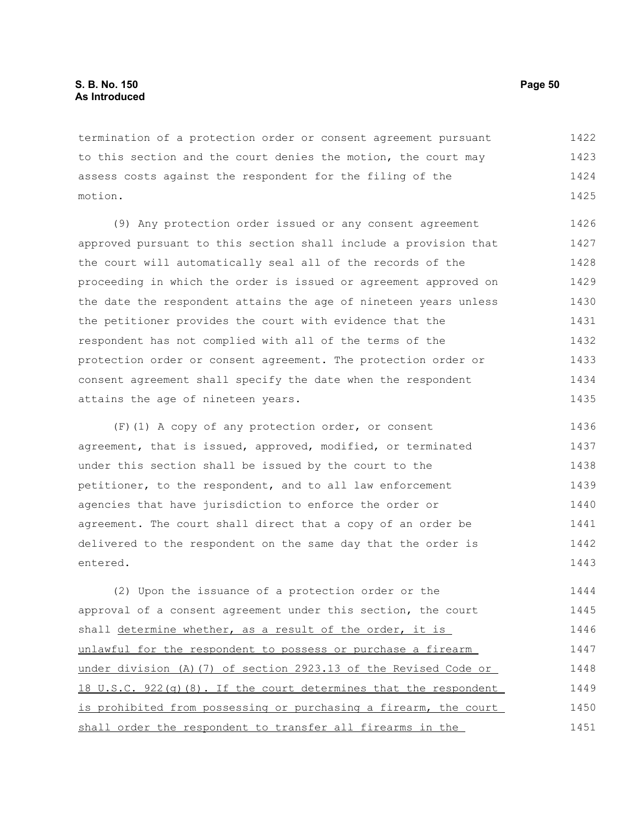termination of a protection order or consent agreement pursuant to this section and the court denies the motion, the court may assess costs against the respondent for the filing of the motion. 1422 1423 1424 1425

(9) Any protection order issued or any consent agreement approved pursuant to this section shall include a provision that the court will automatically seal all of the records of the proceeding in which the order is issued or agreement approved on the date the respondent attains the age of nineteen years unless the petitioner provides the court with evidence that the respondent has not complied with all of the terms of the protection order or consent agreement. The protection order or consent agreement shall specify the date when the respondent attains the age of nineteen years. 1426 1427 1428 1429 1430 1431 1432 1433 1434 1435

(F)(1) A copy of any protection order, or consent agreement, that is issued, approved, modified, or terminated under this section shall be issued by the court to the petitioner, to the respondent, and to all law enforcement agencies that have jurisdiction to enforce the order or agreement. The court shall direct that a copy of an order be delivered to the respondent on the same day that the order is entered. 1436 1437 1438 1439 1440 1441 1442 1443

(2) Upon the issuance of a protection order or the approval of a consent agreement under this section, the court shall determine whether, as a result of the order, it is unlawful for the respondent to possess or purchase a firearm under division (A)(7) of section 2923.13 of the Revised Code or 18 U.S.C. 922(g)(8). If the court determines that the respondent is prohibited from possessing or purchasing a firearm, the court shall order the respondent to transfer all firearms in the 1444 1445 1446 1447 1448 1449 1450 1451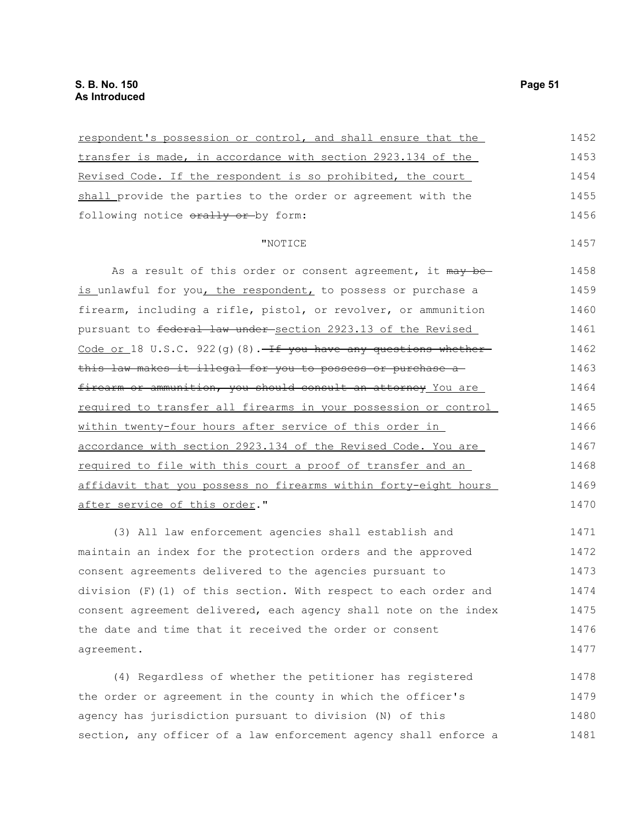| respondent's possession or control, and shall ensure that the       | 1452 |
|---------------------------------------------------------------------|------|
| transfer is made, in accordance with section 2923.134 of the        | 1453 |
| Revised Code. If the respondent is so prohibited, the court         | 1454 |
| shall provide the parties to the order or agreement with the        | 1455 |
| following notice $\overline{or}$ and $\overline{or}$ by form:       | 1456 |
| "NOTICE                                                             | 1457 |
| As a result of this order or consent agreement, it may be           | 1458 |
| is unlawful for you, the respondent, to possess or purchase a       | 1459 |
| firearm, including a rifle, pistol, or revolver, or ammunition      | 1460 |
| pursuant to federal law under section 2923.13 of the Revised        | 1461 |
| Code or 18 U.S.C. 922(g)(8). $\pm f$ you have any questions whether | 1462 |
| this law makes it illegal for you to possess or purchase a-         | 1463 |
| firearm or ammunition, you should consult an attorney You are       | 1464 |
| required to transfer all firearms in your possession or control     | 1465 |
| within twenty-four hours after service of this order in             | 1466 |
| accordance with section 2923.134 of the Revised Code. You are       | 1467 |
| required to file with this court a proof of transfer and an         | 1468 |
| affidavit that you possess no firearms within forty-eight hours     | 1469 |
| after service of this order."                                       | 1470 |
| (3) All law enforcement agencies shall establish and                | 1471 |
| maintain an index for the protection orders and the approved        | 1472 |
| consent agreements delivered to the agencies pursuant to            | 1473 |
| division (F)(1) of this section. With respect to each order and     | 1474 |
| consent agreement delivered, each agency shall note on the index    | 1475 |
| the date and time that it received the order or consent             | 1476 |
| agreement.                                                          | 1477 |
| (4) Regardless of whether the petitioner has registered             | 1478 |
| the order or agreement in the county in which the officer's         | 1479 |
| agency has jurisdiction pursuant to division (N) of this            | 1480 |

section, any officer of a law enforcement agency shall enforce a 1480 1481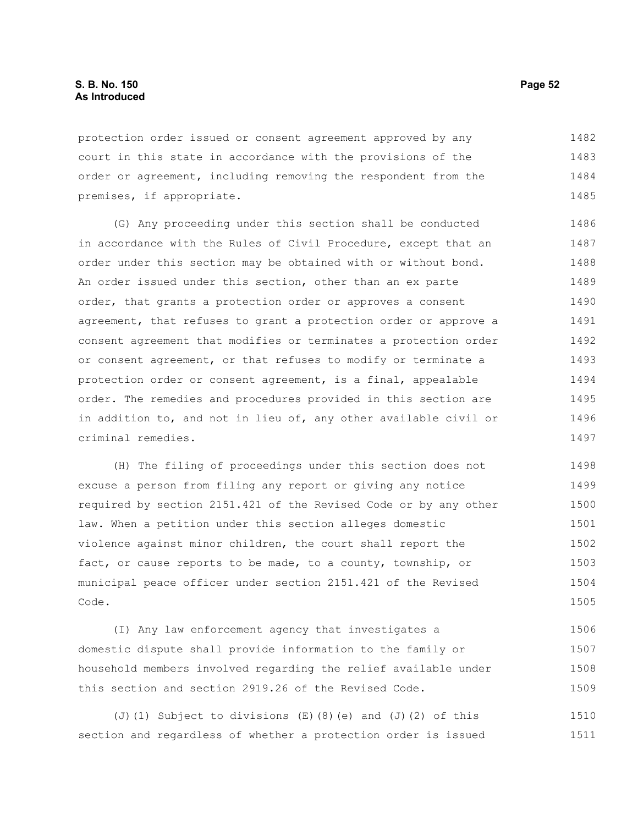protection order issued or consent agreement approved by any court in this state in accordance with the provisions of the order or agreement, including removing the respondent from the premises, if appropriate. 1482 1483 1484 1485

(G) Any proceeding under this section shall be conducted in accordance with the Rules of Civil Procedure, except that an order under this section may be obtained with or without bond. An order issued under this section, other than an ex parte order, that grants a protection order or approves a consent agreement, that refuses to grant a protection order or approve a consent agreement that modifies or terminates a protection order or consent agreement, or that refuses to modify or terminate a protection order or consent agreement, is a final, appealable order. The remedies and procedures provided in this section are in addition to, and not in lieu of, any other available civil or criminal remedies. 1486 1487 1488 1489 1490 1491 1492 1493 1494 1495 1496 1497

(H) The filing of proceedings under this section does not excuse a person from filing any report or giving any notice required by section 2151.421 of the Revised Code or by any other law. When a petition under this section alleges domestic violence against minor children, the court shall report the fact, or cause reports to be made, to a county, township, or municipal peace officer under section 2151.421 of the Revised Code. 1498 1499 1500 1501 1502 1503 1504 1505

(I) Any law enforcement agency that investigates a domestic dispute shall provide information to the family or household members involved regarding the relief available under this section and section 2919.26 of the Revised Code. 1506 1507 1508 1509

(J)(1) Subject to divisions (E)(8)(e) and (J)(2) of this section and regardless of whether a protection order is issued 1510 1511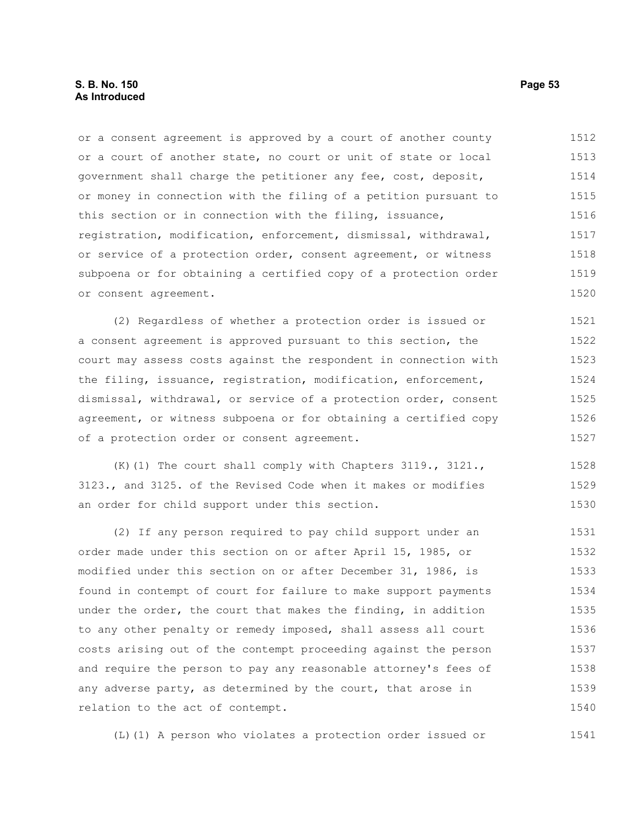or a consent agreement is approved by a court of another county or a court of another state, no court or unit of state or local government shall charge the petitioner any fee, cost, deposit, or money in connection with the filing of a petition pursuant to this section or in connection with the filing, issuance, registration, modification, enforcement, dismissal, withdrawal, or service of a protection order, consent agreement, or witness subpoena or for obtaining a certified copy of a protection order or consent agreement. 1512 1513 1514 1515 1516 1517 1518 1519 1520

(2) Regardless of whether a protection order is issued or a consent agreement is approved pursuant to this section, the court may assess costs against the respondent in connection with the filing, issuance, registration, modification, enforcement, dismissal, withdrawal, or service of a protection order, consent agreement, or witness subpoena or for obtaining a certified copy of a protection order or consent agreement. 1521 1522 1523 1524 1525 1526 1527

(K)(1) The court shall comply with Chapters 3119., 3121., 3123., and 3125. of the Revised Code when it makes or modifies an order for child support under this section. 1528 1529 1530

(2) If any person required to pay child support under an order made under this section on or after April 15, 1985, or modified under this section on or after December 31, 1986, is found in contempt of court for failure to make support payments under the order, the court that makes the finding, in addition to any other penalty or remedy imposed, shall assess all court costs arising out of the contempt proceeding against the person and require the person to pay any reasonable attorney's fees of any adverse party, as determined by the court, that arose in relation to the act of contempt. 1531 1532 1533 1534 1535 1536 1537 1538 1539 1540

(L)(1) A person who violates a protection order issued or 1541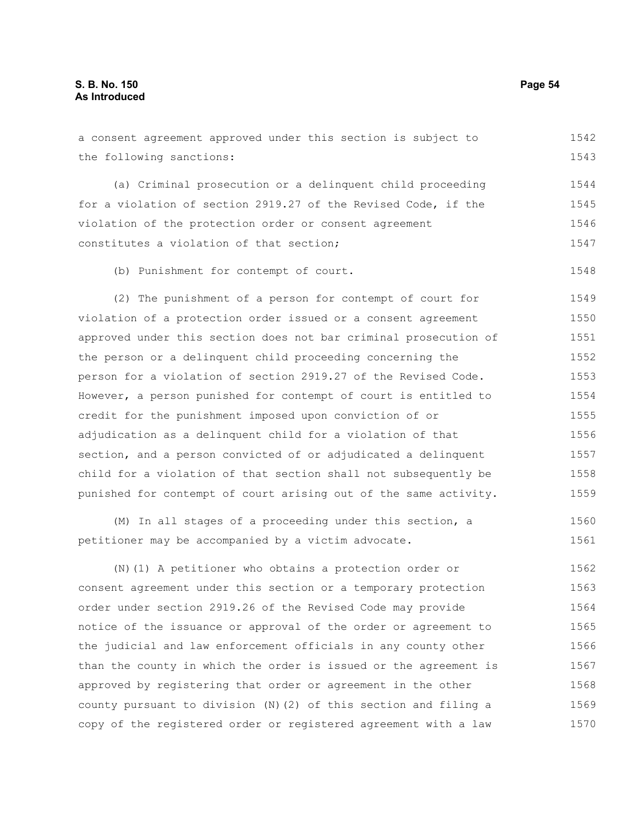the following sanctions: (a) Criminal prosecution or a delinquent child proceeding for a violation of section 2919.27 of the Revised Code, if the violation of the protection order or consent agreement constitutes a violation of that section; (b) Punishment for contempt of court. (2) The punishment of a person for contempt of court for violation of a protection order issued or a consent agreement approved under this section does not bar criminal prosecution of the person or a delinquent child proceeding concerning the person for a violation of section 2919.27 of the Revised Code. However, a person punished for contempt of court is entitled to credit for the punishment imposed upon conviction of or adjudication as a delinquent child for a violation of that section, and a person convicted of or adjudicated a delinquent child for a violation of that section shall not subsequently be punished for contempt of court arising out of the same activity. 1543 1544 1545 1546 1547 1548 1549 1550 1551 1552 1553 1554 1555 1556 1557 1558 1559

a consent agreement approved under this section is subject to

(M) In all stages of a proceeding under this section, a petitioner may be accompanied by a victim advocate. 1560 1561

(N)(1) A petitioner who obtains a protection order or consent agreement under this section or a temporary protection order under section 2919.26 of the Revised Code may provide notice of the issuance or approval of the order or agreement to the judicial and law enforcement officials in any county other than the county in which the order is issued or the agreement is approved by registering that order or agreement in the other county pursuant to division  $(N)$  (2) of this section and filing a copy of the registered order or registered agreement with a law 1562 1563 1564 1565 1566 1567 1568 1569 1570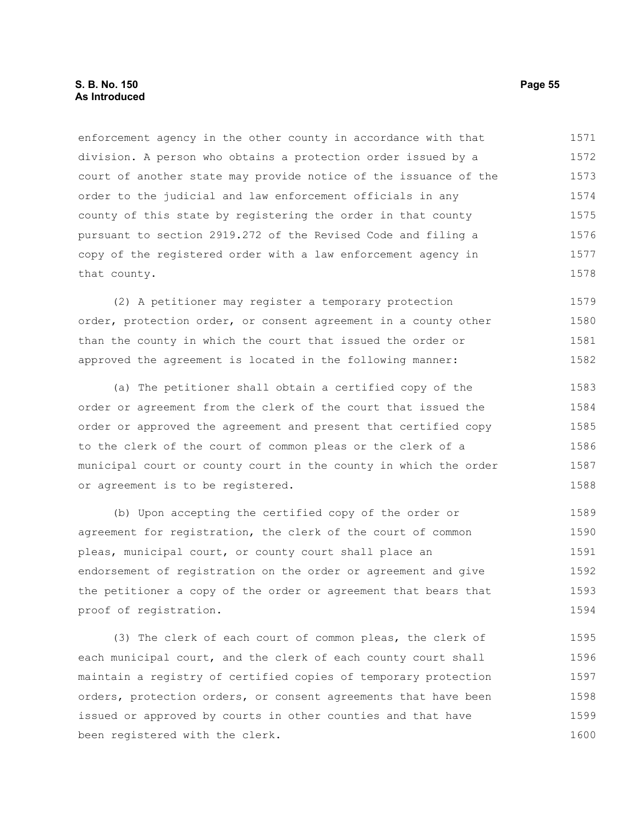# **S. B. No. 150 Page 55 As Introduced**

enforcement agency in the other county in accordance with that division. A person who obtains a protection order issued by a court of another state may provide notice of the issuance of the order to the judicial and law enforcement officials in any county of this state by registering the order in that county pursuant to section 2919.272 of the Revised Code and filing a copy of the registered order with a law enforcement agency in that county. 1571 1572 1573 1574 1575 1576 1577 1578

(2) A petitioner may register a temporary protection order, protection order, or consent agreement in a county other than the county in which the court that issued the order or approved the agreement is located in the following manner: 1579 1580 1581 1582

(a) The petitioner shall obtain a certified copy of the order or agreement from the clerk of the court that issued the order or approved the agreement and present that certified copy to the clerk of the court of common pleas or the clerk of a municipal court or county court in the county in which the order or agreement is to be registered. 1583 1584 1585 1586 1587 1588

(b) Upon accepting the certified copy of the order or agreement for registration, the clerk of the court of common pleas, municipal court, or county court shall place an endorsement of registration on the order or agreement and give the petitioner a copy of the order or agreement that bears that proof of registration. 1589 1590 1591 1592 1593 1594

(3) The clerk of each court of common pleas, the clerk of each municipal court, and the clerk of each county court shall maintain a registry of certified copies of temporary protection orders, protection orders, or consent agreements that have been issued or approved by courts in other counties and that have been registered with the clerk. 1595 1596 1597 1598 1599 1600